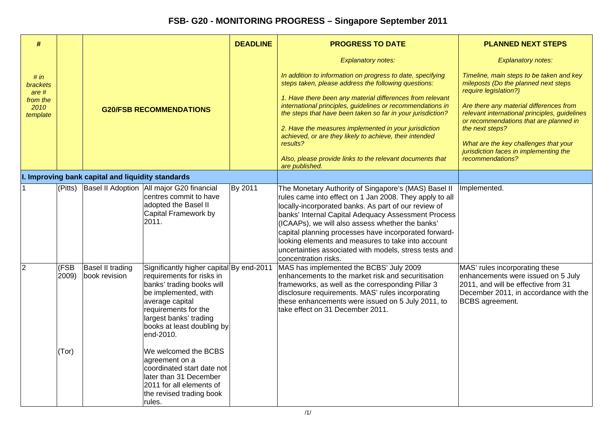| $\#$                                                                        |                        |                                                  |                                                                                                                                                                                                                                                                                                                                                                                                                | <b>DEADLINE</b> | <b>PROGRESS TO DATE</b>                                                                                                                                                                                                                                                                                                                                                                                                                                                                                                                                  | <b>PLANNED NEXT STEPS</b>                                                                                                                                                                                                                                                                                                                                                                              |
|-----------------------------------------------------------------------------|------------------------|--------------------------------------------------|----------------------------------------------------------------------------------------------------------------------------------------------------------------------------------------------------------------------------------------------------------------------------------------------------------------------------------------------------------------------------------------------------------------|-----------------|----------------------------------------------------------------------------------------------------------------------------------------------------------------------------------------------------------------------------------------------------------------------------------------------------------------------------------------------------------------------------------------------------------------------------------------------------------------------------------------------------------------------------------------------------------|--------------------------------------------------------------------------------------------------------------------------------------------------------------------------------------------------------------------------------------------------------------------------------------------------------------------------------------------------------------------------------------------------------|
| # in<br><b>brackets</b><br>are <sub>#</sub><br>from the<br>2010<br>template |                        | <b>G20/FSB RECOMMENDATIONS</b>                   |                                                                                                                                                                                                                                                                                                                                                                                                                |                 | <b>Explanatory notes:</b><br>In addition to information on progress to date, specifying<br>steps taken, please address the following questions:<br>1. Have there been any material differences from relevant<br>international principles, guidelines or recommendations in<br>the steps that have been taken so far in your jurisdiction?<br>2. Have the measures implemented in your jurisdiction<br>achieved, or are they likely to achieve, their intended<br>results?<br>Also, please provide links to the relevant documents that<br>are published. | <b>Explanatory notes:</b><br>Timeline, main steps to be taken and key<br>mileposts (Do the planned next steps<br>require legislation?)<br>Are there any material differences from<br>relevant international principles, guidelines<br>or recommendations that are planned in<br>the next steps?<br>What are the key challenges that your<br>jurisdiction faces in implementing the<br>recommendations? |
|                                                                             |                        | . Improving bank capital and liquidity standards |                                                                                                                                                                                                                                                                                                                                                                                                                |                 |                                                                                                                                                                                                                                                                                                                                                                                                                                                                                                                                                          |                                                                                                                                                                                                                                                                                                                                                                                                        |
|                                                                             | (Pitts)                |                                                  | Basel II Adoption   All major G20 financial<br>centres commit to have<br>adopted the Basel II<br>Capital Framework by<br>2011.                                                                                                                                                                                                                                                                                 | By 2011         | The Monetary Authority of Singapore's (MAS) Basel II<br>rules came into effect on 1 Jan 2008. They apply to all<br>locally-incorporated banks. As part of our review of<br>banks' Internal Capital Adequacy Assessment Process<br>(ICAAPs), we will also assess whether the banks'<br>capital planning processes have incorporated forward-<br>looking elements and measures to take into account<br>uncertainties associated with models, stress tests and<br>concentration risks.                                                                      | Implemented.                                                                                                                                                                                                                                                                                                                                                                                           |
| 2                                                                           | (FSB<br>2009)<br>(Tor) | <b>Basel II trading</b><br>book revision         | Significantly higher capital By end-2011<br>requirements for risks in<br>banks' trading books will<br>be implemented, with<br>average capital<br>requirements for the<br>largest banks' trading<br>books at least doubling by<br>end-2010.<br>We welcomed the BCBS<br>agreement on a<br>coordinated start date not<br>later than 31 December<br>2011 for all elements of<br>the revised trading book<br>rules. |                 | MAS has implemented the BCBS' July 2009<br>enhancements to the market risk and securitisation<br>frameworks, as well as the corresponding Pillar 3<br>disclosure requirements. MAS' rules incorporating<br>these enhancements were issued on 5 July 2011, to<br>take effect on 31 December 2011.                                                                                                                                                                                                                                                         | MAS' rules incorporating these<br>enhancements were issued on 5 July<br>2011, and will be effective from 31<br>December 2011, in accordance with the<br><b>BCBS</b> agreement.                                                                                                                                                                                                                         |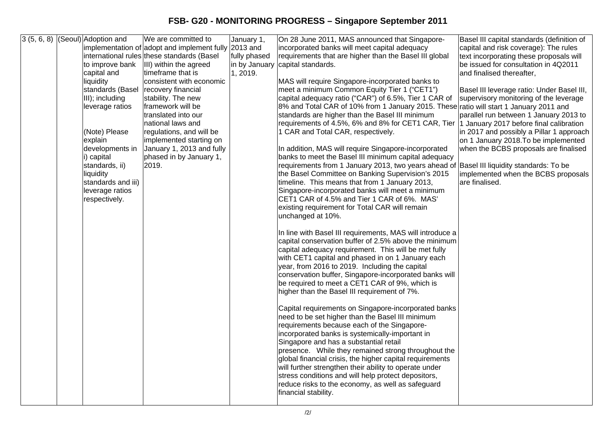| 3(5, 6, 8) | (Seoul) Adoption and | We are committed to                                  | January 1,    | On 28 June 2011, MAS announced that Singapore-                                                                | Basel III capital standards (definition of |
|------------|----------------------|------------------------------------------------------|---------------|---------------------------------------------------------------------------------------------------------------|--------------------------------------------|
|            |                      | implementation of adopt and implement fully 2013 and |               | incorporated banks will meet capital adequacy                                                                 | capital and risk coverage): The rules      |
|            |                      | international rules these standards (Basel           | fully phased  | requirements that are higher than the Basel III global                                                        | text incorporating these proposals will    |
|            | to improve bank      | III) within the agreed                               | in by January | capital standards.                                                                                            | be issued for consultation in 4Q2011       |
|            | capital and          | timeframe that is                                    | 1, 2019.      |                                                                                                               | and finalised thereafter,                  |
|            | liquidity            | consistent with economic                             |               | MAS will require Singapore-incorporated banks to                                                              |                                            |
|            | standards (Basel     | recovery financial                                   |               | meet a minimum Common Equity Tier 1 ("CET1")                                                                  | Basel III leverage ratio: Under Basel III, |
|            | III); including      | stability. The new                                   |               | capital adequacy ratio ("CAR") of 6.5%, Tier 1 CAR of                                                         | supervisory monitoring of the leverage     |
|            | leverage ratios      | framework will be                                    |               | 8% and Total CAR of 10% from 1 January 2015. These ratio will start 1 January 2011 and                        |                                            |
|            |                      | translated into our                                  |               | standards are higher than the Basel III minimum                                                               | parallel run between 1 January 2013 to     |
|            |                      | national laws and                                    |               | requirements of 4.5%, 6% and 8% for CET1 CAR, Tier                                                            | 1 January 2017 before final calibration    |
|            | (Note) Please        | regulations, and will be                             |               | 1 CAR and Total CAR, respectively.                                                                            | in 2017 and possibly a Pillar 1 approach   |
|            | explain              | implemented starting on                              |               |                                                                                                               | on 1 January 2018. To be implemented       |
|            | developments in      | January 1, 2013 and fully                            |               | In addition, MAS will require Singapore-incorporated                                                          | when the BCBS proposals are finalised      |
|            | i) capital           | phased in by January 1,                              |               | banks to meet the Basel III minimum capital adequacy                                                          |                                            |
|            | standards, ii)       | 2019.                                                |               | requirements from 1 January 2013, two years ahead of                                                          | Basel III liquidity standards: To be       |
|            | liquidity            |                                                      |               | the Basel Committee on Banking Supervision's 2015                                                             | implemented when the BCBS proposals        |
|            | standards and iii)   |                                                      |               | timeline. This means that from 1 January 2013,                                                                | are finalised.                             |
|            | leverage ratios      |                                                      |               | Singapore-incorporated banks will meet a minimum                                                              |                                            |
|            | respectively.        |                                                      |               | CET1 CAR of 4.5% and Tier 1 CAR of 6%. MAS'                                                                   |                                            |
|            |                      |                                                      |               | existing requirement for Total CAR will remain                                                                |                                            |
|            |                      |                                                      |               | unchanged at 10%.                                                                                             |                                            |
|            |                      |                                                      |               |                                                                                                               |                                            |
|            |                      |                                                      |               | In line with Basel III requirements, MAS will introduce a                                                     |                                            |
|            |                      |                                                      |               | capital conservation buffer of 2.5% above the minimum<br>capital adequacy requirement. This will be met fully |                                            |
|            |                      |                                                      |               | with CET1 capital and phased in on 1 January each                                                             |                                            |
|            |                      |                                                      |               | year, from 2016 to 2019. Including the capital                                                                |                                            |
|            |                      |                                                      |               | conservation buffer, Singapore-incorporated banks will                                                        |                                            |
|            |                      |                                                      |               | be required to meet a CET1 CAR of 9%, which is                                                                |                                            |
|            |                      |                                                      |               | higher than the Basel III requirement of 7%.                                                                  |                                            |
|            |                      |                                                      |               |                                                                                                               |                                            |
|            |                      |                                                      |               | Capital requirements on Singapore-incorporated banks                                                          |                                            |
|            |                      |                                                      |               | need to be set higher than the Basel III minimum                                                              |                                            |
|            |                      |                                                      |               | requirements because each of the Singapore-                                                                   |                                            |
|            |                      |                                                      |               | incorporated banks is systemically-important in                                                               |                                            |
|            |                      |                                                      |               | Singapore and has a substantial retail                                                                        |                                            |
|            |                      |                                                      |               | presence. While they remained strong throughout the                                                           |                                            |
|            |                      |                                                      |               | global financial crisis, the higher capital requirements                                                      |                                            |
|            |                      |                                                      |               | will further strengthen their ability to operate under                                                        |                                            |
|            |                      |                                                      |               | stress conditions and will help protect depositors,                                                           |                                            |
|            |                      |                                                      |               | reduce risks to the economy, as well as safeguard                                                             |                                            |
|            |                      |                                                      |               | financial stability.                                                                                          |                                            |
|            |                      |                                                      |               |                                                                                                               |                                            |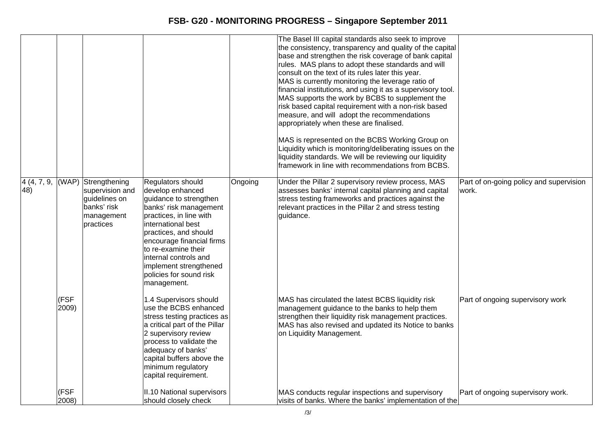|     |               |                                                                                                                |                                                                                                                                                                                                                                                                                                                      |         | The Basel III capital standards also seek to improve<br>the consistency, transparency and quality of the capital<br>base and strengthen the risk coverage of bank capital<br>rules. MAS plans to adopt these standards and will<br>consult on the text of its rules later this year.<br>MAS is currently monitoring the leverage ratio of<br>financial institutions, and using it as a supervisory tool.<br>MAS supports the work by BCBS to supplement the<br>risk based capital requirement with a non-risk based<br>measure, and will adopt the recommendations<br>appropriately when these are finalised.<br>MAS is represented on the BCBS Working Group on<br>Liquidity which is monitoring/deliberating issues on the<br>liquidity standards. We will be reviewing our liquidity<br>framework in line with recommendations from BCBS. |                                                  |
|-----|---------------|----------------------------------------------------------------------------------------------------------------|----------------------------------------------------------------------------------------------------------------------------------------------------------------------------------------------------------------------------------------------------------------------------------------------------------------------|---------|----------------------------------------------------------------------------------------------------------------------------------------------------------------------------------------------------------------------------------------------------------------------------------------------------------------------------------------------------------------------------------------------------------------------------------------------------------------------------------------------------------------------------------------------------------------------------------------------------------------------------------------------------------------------------------------------------------------------------------------------------------------------------------------------------------------------------------------------|--------------------------------------------------|
| 48) |               | $4(4, 7, 9, (WAP)$ Strengthening<br>supervision and<br>guidelines on<br>banks' risk<br>management<br>practices | Regulators should<br>develop enhanced<br>guidance to strengthen<br>banks' risk management<br>practices, in line with<br>international best<br>practices, and should<br>encourage financial firms<br>to re-examine their<br>internal controls and<br>implement strengthened<br>policies for sound risk<br>management. | Ongoing | Under the Pillar 2 supervisory review process, MAS<br>assesses banks' internal capital planning and capital<br>stress testing frameworks and practices against the<br>relevant practices in the Pillar 2 and stress testing<br>guidance.                                                                                                                                                                                                                                                                                                                                                                                                                                                                                                                                                                                                     | Part of on-going policy and supervision<br>work. |
|     | (FSF<br>2009) |                                                                                                                | 1.4 Supervisors should<br>use the BCBS enhanced<br>stress testing practices as<br>a critical part of the Pillar<br>2 supervisory review<br>process to validate the<br>adequacy of banks'<br>capital buffers above the<br>minimum regulatory<br>capital requirement.                                                  |         | MAS has circulated the latest BCBS liquidity risk<br>management guidance to the banks to help them<br>strengthen their liquidity risk management practices.<br>MAS has also revised and updated its Notice to banks<br>on Liquidity Management.                                                                                                                                                                                                                                                                                                                                                                                                                                                                                                                                                                                              | Part of ongoing supervisory work                 |
|     | (FSF<br>2008) |                                                                                                                | II.10 National supervisors<br>should closely check                                                                                                                                                                                                                                                                   |         | MAS conducts regular inspections and supervisory<br>visits of banks. Where the banks' implementation of the                                                                                                                                                                                                                                                                                                                                                                                                                                                                                                                                                                                                                                                                                                                                  | Part of ongoing supervisory work.                |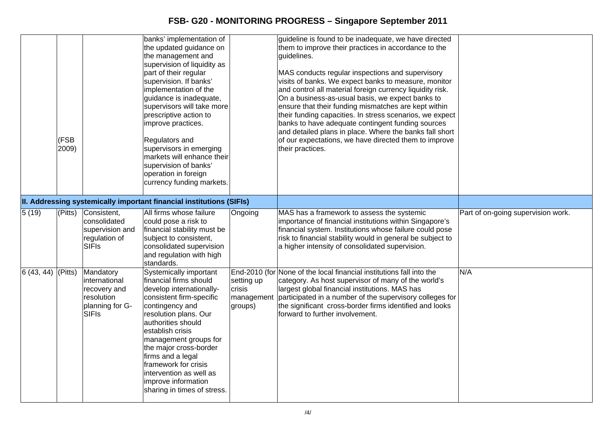|                     | <b>FSB</b><br>2009) |                                                                                             | banks' implementation of<br>the updated guidance on<br>the management and<br>supervision of liquidity as<br>part of their regular<br>supervision. If banks'<br>implementation of the<br>guidance is inadequate,<br>supervisors will take more<br>prescriptive action to<br>improve practices.<br>Regulators and<br>supervisors in emerging<br>markets will enhance their<br>supervision of banks'<br>operation in foreign<br>currency funding markets. |                                                      | guideline is found to be inadequate, we have directed<br>them to improve their practices in accordance to the<br>guidelines.<br>MAS conducts regular inspections and supervisory<br>visits of banks. We expect banks to measure, monitor<br>and control all material foreign currency liquidity risk.<br>On a business-as-usual basis, we expect banks to<br>ensure that their funding mismatches are kept within<br>their funding capacities. In stress scenarios, we expect<br>banks to have adequate contingent funding sources<br>and detailed plans in place. Where the banks fall short<br>of our expectations, we have directed them to improve<br>their practices. |                                    |
|---------------------|---------------------|---------------------------------------------------------------------------------------------|--------------------------------------------------------------------------------------------------------------------------------------------------------------------------------------------------------------------------------------------------------------------------------------------------------------------------------------------------------------------------------------------------------------------------------------------------------|------------------------------------------------------|----------------------------------------------------------------------------------------------------------------------------------------------------------------------------------------------------------------------------------------------------------------------------------------------------------------------------------------------------------------------------------------------------------------------------------------------------------------------------------------------------------------------------------------------------------------------------------------------------------------------------------------------------------------------------|------------------------------------|
|                     |                     |                                                                                             | II. Addressing systemically important financial institutions (SIFIs)                                                                                                                                                                                                                                                                                                                                                                                   |                                                      |                                                                                                                                                                                                                                                                                                                                                                                                                                                                                                                                                                                                                                                                            |                                    |
| $\sqrt{5(19)}$      | (Pitts)             | Consistent,<br>consolidated<br>supervision and<br>regulation of<br><b>SIFIs</b>             | All firms whose failure<br>could pose a risk to<br>financial stability must be<br>subject to consistent,<br>consolidated supervision<br>and regulation with high<br>standards.                                                                                                                                                                                                                                                                         | Ongoing                                              | MAS has a framework to assess the systemic<br>importance of financial institutions within Singapore's<br>financial system. Institutions whose failure could pose<br>risk to financial stability would in general be subject to<br>a higher intensity of consolidated supervision.                                                                                                                                                                                                                                                                                                                                                                                          | Part of on-going supervision work. |
| $6(43, 44)$ (Pitts) |                     | Mandatory<br>international<br>recovery and<br>resolution<br>planning for G-<br><b>SIFIs</b> | <b>Systemically important</b><br>financial firms should<br>develop internationally-<br>consistent firm-specific<br>contingency and<br>resolution plans. Our<br>authorities should<br>establish crisis<br>management groups for<br>the major cross-border<br>firms and a legal<br>framework for crisis<br>intervention as well as<br>improve information<br>sharing in times of stress.                                                                 | setting up<br><b>crisis</b><br>management<br>groups) | End-2010 (for None of the local financial institutions fall into the<br>category. As host supervisor of many of the world's<br>largest global financial institutions. MAS has<br>participated in a number of the supervisory colleges for<br>the significant cross-border firms identified and looks<br>forward to further involvement.                                                                                                                                                                                                                                                                                                                                    | N/A                                |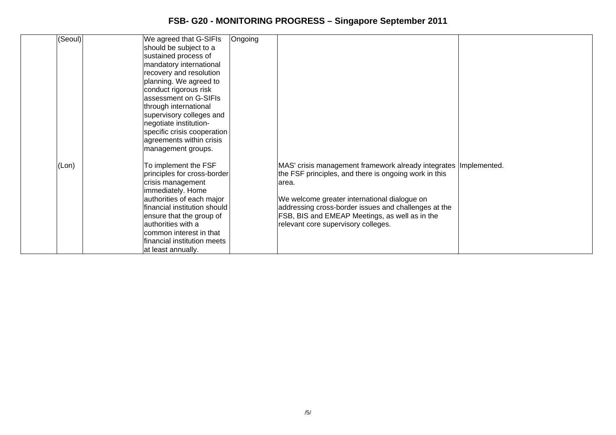| (Seoul) | We agreed that G-SIFIs       | Ongoing |                                                                    |  |
|---------|------------------------------|---------|--------------------------------------------------------------------|--|
|         | should be subject to a       |         |                                                                    |  |
|         | sustained process of         |         |                                                                    |  |
|         | mandatory international      |         |                                                                    |  |
|         | recovery and resolution      |         |                                                                    |  |
|         | planning. We agreed to       |         |                                                                    |  |
|         | conduct rigorous risk        |         |                                                                    |  |
|         | assessment on G-SIFIs        |         |                                                                    |  |
|         | through international        |         |                                                                    |  |
|         | supervisory colleges and     |         |                                                                    |  |
|         | negotiate institution-       |         |                                                                    |  |
|         | specific crisis cooperation  |         |                                                                    |  |
|         | agreements within crisis     |         |                                                                    |  |
|         | management groups.           |         |                                                                    |  |
| (Lon)   | To implement the FSF         |         | MAS' crisis management framework already integrates   Implemented. |  |
|         | principles for cross-border  |         | the FSF principles, and there is ongoing work in this              |  |
|         | crisis management            |         | larea.                                                             |  |
|         | immediately. Home            |         |                                                                    |  |
|         | authorities of each major    |         | We welcome greater international dialogue on                       |  |
|         | financial institution should |         | addressing cross-border issues and challenges at the               |  |
|         | ensure that the group of     |         | FSB, BIS and EMEAP Meetings, as well as in the                     |  |
|         | authorities with a           |         | relevant core supervisory colleges.                                |  |
|         | common interest in that      |         |                                                                    |  |
|         | financial institution meets  |         |                                                                    |  |
|         | at least annually.           |         |                                                                    |  |
|         |                              |         |                                                                    |  |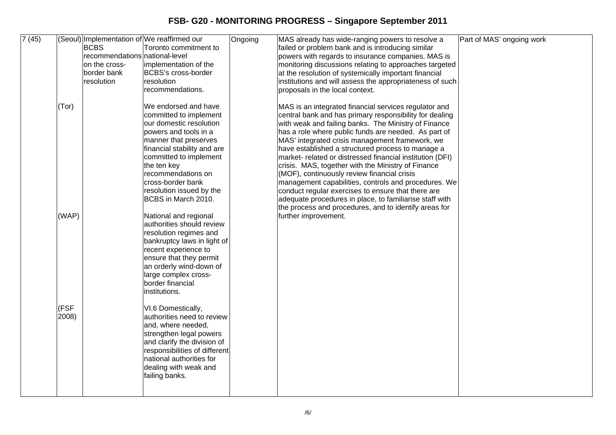| 7(45) |               | <b>BCBS</b><br>recommendations national-level<br>on the cross-<br>border bank<br>resolution | (Seoul) Implementation of We reaffirmed our<br>Toronto commitment to<br>implementation of the<br>BCBS's cross-border<br>resolution                                                                                                                                                                                    | Ongoing | MAS already has wide-ranging powers to resolve a<br>failed or problem bank and is introducing similar<br>powers with regards to insurance companies. MAS is<br>monitoring discussions relating to approaches targeted<br>at the resolution of systemically important financial<br>institutions and will assess the appropriateness of such                                                                                                                                                                                                                                                                                                                                                                             | Part of MAS' ongoing work |
|-------|---------------|---------------------------------------------------------------------------------------------|-----------------------------------------------------------------------------------------------------------------------------------------------------------------------------------------------------------------------------------------------------------------------------------------------------------------------|---------|------------------------------------------------------------------------------------------------------------------------------------------------------------------------------------------------------------------------------------------------------------------------------------------------------------------------------------------------------------------------------------------------------------------------------------------------------------------------------------------------------------------------------------------------------------------------------------------------------------------------------------------------------------------------------------------------------------------------|---------------------------|
|       | (Tor)         |                                                                                             | recommendations.<br>We endorsed and have<br>committed to implement<br>our domestic resolution<br>powers and tools in a<br>manner that preserves<br>financial stability and are<br>committed to implement<br>the ten key<br>recommendations on<br>cross-border bank<br>resolution issued by the<br>BCBS in March 2010. |         | proposals in the local context.<br>MAS is an integrated financial services regulator and<br>central bank and has primary responsibility for dealing<br>with weak and failing banks. The Ministry of Finance<br>has a role where public funds are needed. As part of<br>MAS' integrated crisis management framework, we<br>have established a structured process to manage a<br>market- related or distressed financial institution (DFI)<br>crisis. MAS, together with the Ministry of Finance<br>(MOF), continuously review financial crisis<br>management capabilities, controls and procedures. We<br>conduct regular exercises to ensure that there are<br>adequate procedures in place, to familiarise staff with |                           |
|       | (WAP)         |                                                                                             | National and regional<br>authorities should review<br>resolution regimes and<br>bankruptcy laws in light of<br>recent experience to<br>ensure that they permit<br>an orderly wind-down of<br>large complex cross-<br>border financial<br>institutions.                                                                |         | the process and procedures, and to identify areas for<br>further improvement.                                                                                                                                                                                                                                                                                                                                                                                                                                                                                                                                                                                                                                          |                           |
|       | (FSF<br>2008) |                                                                                             | VI.6 Domestically,<br>authorities need to review<br>and, where needed,<br>strengthen legal powers<br>and clarify the division of<br>responsibilities of different<br>national authorities for<br>dealing with weak and<br>failing banks.                                                                              |         |                                                                                                                                                                                                                                                                                                                                                                                                                                                                                                                                                                                                                                                                                                                        |                           |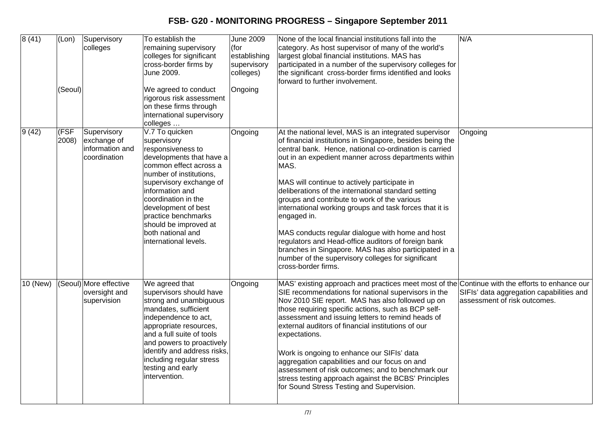| 8(41)    | (Lon)<br>(Seoul) | Supervisory<br>colleges                                       | To establish the<br>remaining supervisory<br>colleges for significant<br>cross-border firms by<br>June 2009.<br>We agreed to conduct<br>rigorous risk assessment<br>on these firms through<br>international supervisory<br>colleges                                                                                           | <b>June 2009</b><br>(for<br>establishing<br>supervisory<br>colleges)<br>Ongoing | None of the local financial institutions fall into the<br>category. As host supervisor of many of the world's<br>largest global financial institutions. MAS has<br>participated in a number of the supervisory colleges for<br>the significant cross-border firms identified and looks<br>forward to further involvement.                                                                                                                                                                                                                                                                                                                                                                                                       | N/A                                                                      |
|----------|------------------|---------------------------------------------------------------|-------------------------------------------------------------------------------------------------------------------------------------------------------------------------------------------------------------------------------------------------------------------------------------------------------------------------------|---------------------------------------------------------------------------------|---------------------------------------------------------------------------------------------------------------------------------------------------------------------------------------------------------------------------------------------------------------------------------------------------------------------------------------------------------------------------------------------------------------------------------------------------------------------------------------------------------------------------------------------------------------------------------------------------------------------------------------------------------------------------------------------------------------------------------|--------------------------------------------------------------------------|
| 9(42)    | (FSF)<br>2008)   | Supervisory<br>exchange of<br>information and<br>coordination | V.7 To quicken<br>supervisory<br>responsiveness to<br>developments that have a<br>common effect across a<br>number of institutions,<br>supervisory exchange of<br>information and<br>coordination in the<br>development of best<br>practice benchmarks<br>should be improved at<br>both national and<br>international levels. | Ongoing                                                                         | At the national level, MAS is an integrated supervisor<br>of financial institutions in Singapore, besides being the<br>central bank. Hence, national co-ordination is carried<br>out in an expedient manner across departments within<br>MAS.<br>MAS will continue to actively participate in<br>deliberations of the international standard setting<br>groups and contribute to work of the various<br>international working groups and task forces that it is<br>engaged in.<br>MAS conducts regular dialogue with home and host<br>regulators and Head-office auditors of foreign bank<br>branches in Singapore. MAS has also participated in a<br>number of the supervisory colleges for significant<br>cross-border firms. | Ongoing                                                                  |
| 10 (New) |                  | (Seoul) More effective<br>oversight and<br>supervision        | We agreed that<br>supervisors should have<br>strong and unambiguous<br>mandates, sufficient<br>independence to act,<br>appropriate resources,<br>and a full suite of tools<br>and powers to proactively<br>identify and address risks,<br>including regular stress<br>testing and early<br>intervention.                      | Ongoing                                                                         | MAS' existing approach and practices meet most of the Continue with the efforts to enhance our<br>SIE recommendations for national supervisors in the<br>Nov 2010 SIE report. MAS has also followed up on<br>those requiring specific actions, such as BCP self-<br>assessment and issuing letters to remind heads of<br>external auditors of financial institutions of our<br>expectations.<br>Work is ongoing to enhance our SIFIs' data<br>aggregation capabilities and our focus on and<br>assessment of risk outcomes; and to benchmark our<br>stress testing approach against the BCBS' Principles<br>for Sound Stress Testing and Supervision.                                                                           | SIFIs' data aggregation capabilities and<br>assessment of risk outcomes. |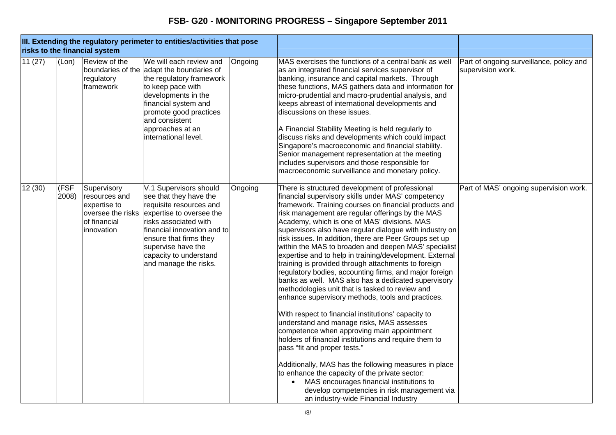|         |               | risks to the financial system                                                                   | III. Extending the regulatory perimeter to entities/activities that pose                                                                                                                                                                                           |         |                                                                                                                                                                                                                                                                                                                                                                                                                                                                                                                                                                                                                                                                                                                                                                                                                                                                                                                                                                                                                                                                                                                                                                                                                                                                                    |                                                               |
|---------|---------------|-------------------------------------------------------------------------------------------------|--------------------------------------------------------------------------------------------------------------------------------------------------------------------------------------------------------------------------------------------------------------------|---------|------------------------------------------------------------------------------------------------------------------------------------------------------------------------------------------------------------------------------------------------------------------------------------------------------------------------------------------------------------------------------------------------------------------------------------------------------------------------------------------------------------------------------------------------------------------------------------------------------------------------------------------------------------------------------------------------------------------------------------------------------------------------------------------------------------------------------------------------------------------------------------------------------------------------------------------------------------------------------------------------------------------------------------------------------------------------------------------------------------------------------------------------------------------------------------------------------------------------------------------------------------------------------------|---------------------------------------------------------------|
| 11(27)  | (Lon)         | Review of the<br>regulatory<br>framework                                                        | We will each review and<br>boundaries of the adapt the boundaries of<br>the regulatory framework<br>to keep pace with<br>developments in the<br>financial system and<br>promote good practices<br>and consistent<br>approaches at an<br>international level.       | Ongoing | MAS exercises the functions of a central bank as well<br>as an integrated financial services supervisor of<br>banking, insurance and capital markets. Through<br>these functions, MAS gathers data and information for<br>micro-prudential and macro-prudential analysis, and<br>keeps abreast of international developments and<br>discussions on these issues.<br>A Financial Stability Meeting is held regularly to<br>discuss risks and developments which could impact<br>Singapore's macroeconomic and financial stability.<br>Senior management representation at the meeting<br>includes supervisors and those responsible for<br>macroeconomic surveillance and monetary policy.                                                                                                                                                                                                                                                                                                                                                                                                                                                                                                                                                                                          | Part of ongoing surveillance, policy and<br>supervision work. |
| 12 (30) | (FSF<br>2008) | Supervisory<br>resources and<br>expertise to<br>oversee the risks<br>of financial<br>innovation | V.1 Supervisors should<br>see that they have the<br>requisite resources and<br>expertise to oversee the<br>risks associated with<br>financial innovation and to<br>ensure that firms they<br>supervise have the<br>capacity to understand<br>and manage the risks. | Ongoing | There is structured development of professional<br>financial supervisory skills under MAS' competency<br>framework. Training courses on financial products and<br>risk management are regular offerings by the MAS<br>Academy, which is one of MAS' divisions. MAS<br>supervisors also have regular dialogue with industry on<br>risk issues. In addition, there are Peer Groups set up<br>within the MAS to broaden and deepen MAS' specialist<br>expertise and to help in training/development. External<br>training is provided through attachments to foreign<br>regulatory bodies, accounting firms, and major foreign<br>banks as well. MAS also has a dedicated supervisory<br>methodologies unit that is tasked to review and<br>enhance supervisory methods, tools and practices.<br>With respect to financial institutions' capacity to<br>understand and manage risks, MAS assesses<br>competence when approving main appointment<br>holders of financial institutions and require them to<br>pass "fit and proper tests."<br>Additionally, MAS has the following measures in place<br>to enhance the capacity of the private sector:<br>MAS encourages financial institutions to<br>develop competencies in risk management via<br>an industry-wide Financial Industry | Part of MAS' ongoing supervision work.                        |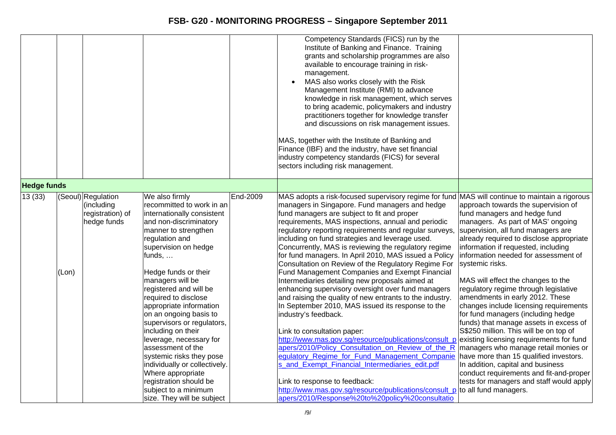|                    |       |                                                                     |                                                                                                                                                                                                                                                                                                                                                                                                                                                                                                                                                                                                          |          | Competency Standards (FICS) run by the<br>Institute of Banking and Finance. Training<br>grants and scholarship programmes are also<br>available to encourage training in risk-<br>management.<br>MAS also works closely with the Risk<br>Management Institute (RMI) to advance<br>knowledge in risk management, which serves<br>to bring academic, policymakers and industry<br>practitioners together for knowledge transfer<br>and discussions on risk management issues.<br>MAS, together with the Institute of Banking and<br>Finance (IBF) and the industry, have set financial<br>industry competency standards (FICS) for several<br>sectors including risk management.                                                                                                                                                                                                                                                                                                                                                                                                                                                                                                                                                                                                       |                                                                                                                                                                                                                                                                                                                                                                                                                                                                                                                                                                                                                                                                                                                                                                                                                           |
|--------------------|-------|---------------------------------------------------------------------|----------------------------------------------------------------------------------------------------------------------------------------------------------------------------------------------------------------------------------------------------------------------------------------------------------------------------------------------------------------------------------------------------------------------------------------------------------------------------------------------------------------------------------------------------------------------------------------------------------|----------|--------------------------------------------------------------------------------------------------------------------------------------------------------------------------------------------------------------------------------------------------------------------------------------------------------------------------------------------------------------------------------------------------------------------------------------------------------------------------------------------------------------------------------------------------------------------------------------------------------------------------------------------------------------------------------------------------------------------------------------------------------------------------------------------------------------------------------------------------------------------------------------------------------------------------------------------------------------------------------------------------------------------------------------------------------------------------------------------------------------------------------------------------------------------------------------------------------------------------------------------------------------------------------------|---------------------------------------------------------------------------------------------------------------------------------------------------------------------------------------------------------------------------------------------------------------------------------------------------------------------------------------------------------------------------------------------------------------------------------------------------------------------------------------------------------------------------------------------------------------------------------------------------------------------------------------------------------------------------------------------------------------------------------------------------------------------------------------------------------------------------|
| <b>Hedge funds</b> |       |                                                                     |                                                                                                                                                                                                                                                                                                                                                                                                                                                                                                                                                                                                          |          |                                                                                                                                                                                                                                                                                                                                                                                                                                                                                                                                                                                                                                                                                                                                                                                                                                                                                                                                                                                                                                                                                                                                                                                                                                                                                      |                                                                                                                                                                                                                                                                                                                                                                                                                                                                                                                                                                                                                                                                                                                                                                                                                           |
| 13(33)             | (Lon) | (Seoul) Regulation<br>(including<br>registration) of<br>hedge funds | We also firmly<br>recommitted to work in an<br>internationally consistent<br>and non-discriminatory<br>manner to strengthen<br>regulation and<br>supervision on hedge<br>funds,<br>Hedge funds or their<br>managers will be<br>registered and will be<br>required to disclose<br>appropriate information<br>on an ongoing basis to<br>supervisors or regulators,<br>including on their<br>leverage, necessary for<br>assessment of the<br>systemic risks they pose<br>individually or collectively.<br>Where appropriate<br>registration should be<br>subject to a minimum<br>size. They will be subject | End-2009 | MAS adopts a risk-focused supervisory regime for fund MAS will continue to maintain a rigorous<br>managers in Singapore. Fund managers and hedge<br>fund managers are subject to fit and proper<br>requirements, MAS inspections, annual and periodic<br>regulatory reporting requirements and regular surveys,<br>including on fund strategies and leverage used.<br>Concurrently, MAS is reviewing the regulatory regime<br>for fund managers. In April 2010, MAS issued a Policy<br>Consultation on Review of the Regulatory Regime For<br>Fund Management Companies and Exempt Financial<br>Intermediaries detailing new proposals aimed at<br>enhancing supervisory oversight over fund managers<br>and raising the quality of new entrants to the industry.<br>In September 2010, MAS issued its response to the<br>industry's feedback.<br>Link to consultation paper:<br>http://www.mas.gov.sg/resource/publications/consult p existing licensing requirements for fund<br>apers/2010/Policy_Consultation_on_Review_of_the_R<br>egulatory Regime for Fund Management Companie<br>s and Exempt Financial Intermediaries edit.pdf<br>Link to response to feedback:<br>http://www.mas.gov.sg/resource/publications/consult_p<br>apers/2010/Response%20to%20policy%20consultatio | approach towards the supervision of<br>fund managers and hedge fund<br>managers. As part of MAS' ongoing<br>supervision, all fund managers are<br>already required to disclose appropriate<br>information if requested, including<br>information needed for assessment of<br>systemic risks.<br>MAS will effect the changes to the<br>regulatory regime through legislative<br>amendments in early 2012. These<br>changes include licensing requirements<br>for fund managers (including hedge<br>funds) that manage assets in excess of<br>S\$250 million. This will be on top of<br>managers who manage retail monies or<br>have more than 15 qualified investors.<br>In addition, capital and business<br>conduct requirements and fit-and-proper<br>tests for managers and staff would apply<br>to all fund managers. |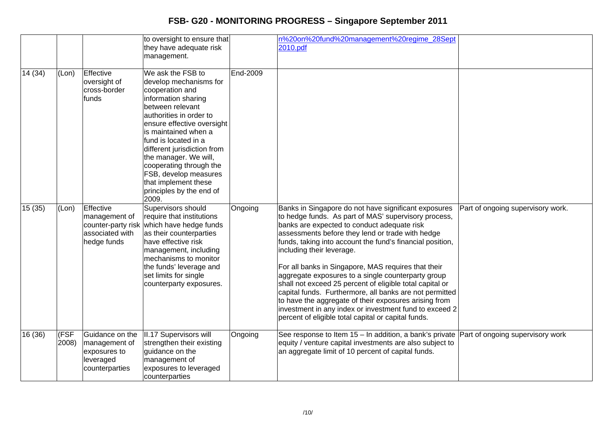|         |               |                                                                                    | to oversight to ensure that<br>they have adequate risk<br>management.                                                                                                                                                                                                                                                                                                                       |          | n%20on%20fund%20management%20regime_28Sept<br>2010.pdf                                                                                                                                                                                                                                                                                                                                                                                                                                                                                                                                                                                                                                                                  |                                   |
|---------|---------------|------------------------------------------------------------------------------------|---------------------------------------------------------------------------------------------------------------------------------------------------------------------------------------------------------------------------------------------------------------------------------------------------------------------------------------------------------------------------------------------|----------|-------------------------------------------------------------------------------------------------------------------------------------------------------------------------------------------------------------------------------------------------------------------------------------------------------------------------------------------------------------------------------------------------------------------------------------------------------------------------------------------------------------------------------------------------------------------------------------------------------------------------------------------------------------------------------------------------------------------------|-----------------------------------|
| 14 (34) | (Lon)         | Effective<br>oversight of<br>cross-border<br>funds                                 | We ask the FSB to<br>develop mechanisms for<br>cooperation and<br>information sharing<br>between relevant<br>authorities in order to<br>ensure effective oversight<br>is maintained when a<br>fund is located in a<br>different jurisdiction from<br>the manager. We will,<br>cooperating through the<br>FSB, develop measures<br>that implement these<br>principles by the end of<br>2009. | End-2009 |                                                                                                                                                                                                                                                                                                                                                                                                                                                                                                                                                                                                                                                                                                                         |                                   |
| 15(35)  | (Lon)         | Effective<br>management of<br>counter-party risk<br>associated with<br>hedge funds | Supervisors should<br>require that institutions<br>which have hedge funds<br>as their counterparties<br>have effective risk<br>management, including<br>mechanisms to monitor<br>the funds' leverage and<br>set limits for single<br>counterparty exposures.                                                                                                                                | Ongoing  | Banks in Singapore do not have significant exposures<br>to hedge funds. As part of MAS' supervisory process,<br>banks are expected to conduct adequate risk<br>assessments before they lend or trade with hedge<br>funds, taking into account the fund's financial position,<br>including their leverage.<br>For all banks in Singapore, MAS requires that their<br>aggregate exposures to a single counterparty group<br>shall not exceed 25 percent of eligible total capital or<br>capital funds. Furthermore, all banks are not permitted<br>to have the aggregate of their exposures arising from<br>investment in any index or investment fund to exceed 2<br>percent of eligible total capital or capital funds. | Part of ongoing supervisory work. |
| 16 (36) | (FSF<br>2008) | Guidance on the<br>management of<br>exposures to<br>leveraged<br>counterparties    | II.17 Supervisors will<br>strengthen their existing<br>guidance on the<br>management of<br>exposures to leveraged<br>counterparties                                                                                                                                                                                                                                                         | Ongoing  | See response to Item 15 – In addition, a bank's private Part of ongoing supervisory work<br>equity / venture capital investments are also subject to<br>an aggregate limit of 10 percent of capital funds.                                                                                                                                                                                                                                                                                                                                                                                                                                                                                                              |                                   |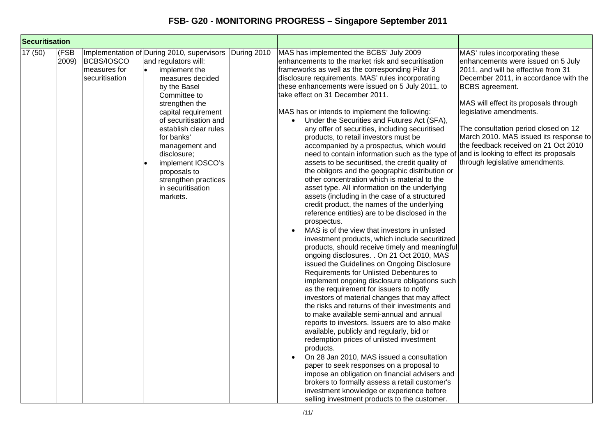| <b>Securitisation</b> |                     |                                              |                                                                                                                                                                                                                                                                                                                                                                                 |             |                                                                                                                                                                                                                                                                                                                                                                                                                                                                                                                                                                                                                                                                                                                                                                                                                                                                                                                                                                                                                                                                                                                                                                                                                                                                                                                                                                                                                                                                                                                                                                                                                                                                                                                                                                                                                                                                                                                                                                                                      |                                                                                                                                                                                                                                                                                                                                                                                                                                                           |
|-----------------------|---------------------|----------------------------------------------|---------------------------------------------------------------------------------------------------------------------------------------------------------------------------------------------------------------------------------------------------------------------------------------------------------------------------------------------------------------------------------|-------------|------------------------------------------------------------------------------------------------------------------------------------------------------------------------------------------------------------------------------------------------------------------------------------------------------------------------------------------------------------------------------------------------------------------------------------------------------------------------------------------------------------------------------------------------------------------------------------------------------------------------------------------------------------------------------------------------------------------------------------------------------------------------------------------------------------------------------------------------------------------------------------------------------------------------------------------------------------------------------------------------------------------------------------------------------------------------------------------------------------------------------------------------------------------------------------------------------------------------------------------------------------------------------------------------------------------------------------------------------------------------------------------------------------------------------------------------------------------------------------------------------------------------------------------------------------------------------------------------------------------------------------------------------------------------------------------------------------------------------------------------------------------------------------------------------------------------------------------------------------------------------------------------------------------------------------------------------------------------------------------------------|-----------------------------------------------------------------------------------------------------------------------------------------------------------------------------------------------------------------------------------------------------------------------------------------------------------------------------------------------------------------------------------------------------------------------------------------------------------|
| $\sqrt{17} (50)$      | <b>FSB</b><br>2009) | BCBS/IOSCO<br>measures for<br>securitisation | Implementation of During 2010, supervisors<br>and regulators will:<br>implement the<br>measures decided<br>by the Basel<br>Committee to<br>strengthen the<br>capital requirement<br>of securitisation and<br>establish clear rules<br>for banks'<br>management and<br>disclosure;<br>implement IOSCO's<br>proposals to<br>strengthen practices<br>in securitisation<br>markets. | During 2010 | MAS has implemented the BCBS' July 2009<br>enhancements to the market risk and securitisation<br>frameworks as well as the corresponding Pillar 3<br>disclosure requirements. MAS' rules incorporating<br>these enhancements were issued on 5 July 2011, to<br>take effect on 31 December 2011.<br>MAS has or intends to implement the following:<br>Under the Securities and Futures Act (SFA),<br>$\bullet$<br>any offer of securities, including securitised<br>products, to retail investors must be<br>accompanied by a prospectus, which would<br>need to contain information such as the type of<br>assets to be securitised, the credit quality of<br>the obligors and the geographic distribution or<br>other concentration which is material to the<br>asset type. All information on the underlying<br>assets (including in the case of a structured<br>credit product, the names of the underlying<br>reference entities) are to be disclosed in the<br>prospectus.<br>MAS is of the view that investors in unlisted<br>$\bullet$<br>investment products, which include securitized<br>products, should receive timely and meaningful<br>ongoing disclosures. . On 21 Oct 2010, MAS<br>issued the Guidelines on Ongoing Disclosure<br>Requirements for Unlisted Debentures to<br>implement ongoing disclosure obligations such<br>as the requirement for issuers to notify<br>investors of material changes that may affect<br>the risks and returns of their investments and<br>to make available semi-annual and annual<br>reports to investors. Issuers are to also make<br>available, publicly and regularly, bid or<br>redemption prices of unlisted investment<br>products.<br>On 28 Jan 2010, MAS issued a consultation<br>$\bullet$<br>paper to seek responses on a proposal to<br>impose an obligation on financial advisers and<br>brokers to formally assess a retail customer's<br>investment knowledge or experience before<br>selling investment products to the customer. | MAS' rules incorporating these<br>enhancements were issued on 5 July<br>2011, and will be effective from 31<br>December 2011, in accordance with the<br><b>BCBS</b> agreement.<br>MAS will effect its proposals through<br>legislative amendments.<br>The consultation period closed on 12<br>March 2010. MAS issued its response to<br>the feedback received on 21 Oct 2010<br>and is looking to effect its proposals<br>through legislative amendments. |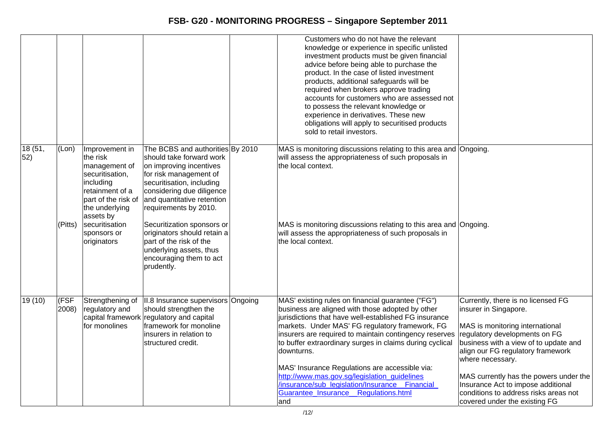|               |                  |                                                                                                                                                                                                      |                                                                                                                                                                                                                                                                                                                                                                                                | Customers who do not have the relevant<br>knowledge or experience in specific unlisted<br>investment products must be given financial<br>advice before being able to purchase the<br>product. In the case of listed investment<br>products, additional safeguards will be<br>required when brokers approve trading<br>accounts for customers who are assessed not<br>to possess the relevant knowledge or<br>experience in derivatives. These new<br>obligations will apply to securitised products<br>sold to retail investors.                         |                                                                                                                                                                                                                                                                                                                                                                                             |
|---------------|------------------|------------------------------------------------------------------------------------------------------------------------------------------------------------------------------------------------------|------------------------------------------------------------------------------------------------------------------------------------------------------------------------------------------------------------------------------------------------------------------------------------------------------------------------------------------------------------------------------------------------|----------------------------------------------------------------------------------------------------------------------------------------------------------------------------------------------------------------------------------------------------------------------------------------------------------------------------------------------------------------------------------------------------------------------------------------------------------------------------------------------------------------------------------------------------------|---------------------------------------------------------------------------------------------------------------------------------------------------------------------------------------------------------------------------------------------------------------------------------------------------------------------------------------------------------------------------------------------|
| 18(51,<br>52) | (Lon)<br>(Pitts) | Improvement in<br>the risk<br>management of<br>securitisation,<br>including<br>retainment of a<br>part of the risk of<br>the underlying<br>assets by<br>securitisation<br>sponsors or<br>originators | The BCBS and authorities By 2010<br>should take forward work<br>on improving incentives<br>for risk management of<br>securitisation, including<br>considering due diligence<br>and quantitative retention<br>requirements by 2010.<br>Securitization sponsors or<br>originators should retain a<br>part of the risk of the<br>underlying assets, thus<br>encouraging them to act<br>prudently. | MAS is monitoring discussions relating to this area and Ongoing.<br>will assess the appropriateness of such proposals in<br>the local context.<br>MAS is monitoring discussions relating to this area and Ongoing.<br>will assess the appropriateness of such proposals in<br>the local context.                                                                                                                                                                                                                                                         |                                                                                                                                                                                                                                                                                                                                                                                             |
| 19(10)        | (FSF<br>2008)    | Strengthening of<br>regulatory and<br>for monolines                                                                                                                                                  | II.8 Insurance supervisors Ongoing<br>should strengthen the<br>capital framework regulatory and capital<br>framework for monoline<br>linsurers in relation to<br>structured credit.                                                                                                                                                                                                            | MAS' existing rules on financial guarantee ("FG")<br>business are aligned with those adopted by other<br>jurisdictions that have well-established FG insurance<br>markets. Under MAS' FG regulatory framework, FG<br>insurers are required to maintain contingency reserves<br>to buffer extraordinary surges in claims during cyclical<br>downturns.<br>MAS' Insurance Regulations are accessible via:<br>http://www.mas.gov.sg/legislation_guidelines<br>insurance/sub legislation/Insurance Financial<br>Guarantee_Insurance__Regulations.html<br>and | Currently, there is no licensed FG<br>insurer in Singapore.<br>MAS is monitoring international<br>regulatory developments on FG<br>business with a view of to update and<br>align our FG regulatory framework<br>where necessary.<br>MAS currently has the powers under the<br>Insurance Act to impose additional<br>conditions to address risks areas not<br>covered under the existing FG |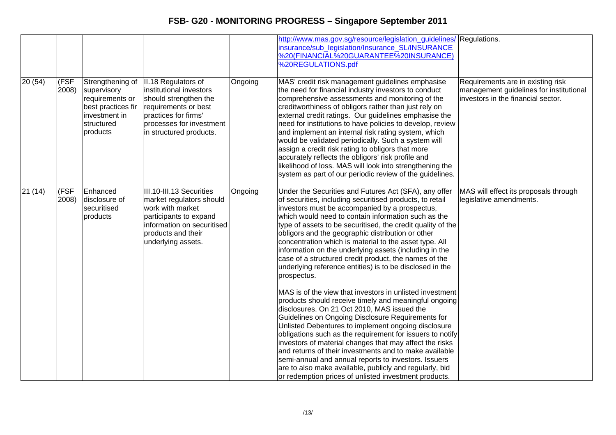|        |               |                                                                                                                     |                                                                                                                                                                                |         | http://www.mas.gov.sg/resource/legislation guidelines/ Regulations.<br>insurance/sub legislation/Insurance SL/INSURANCE<br>%20(FINANCIAL%20GUARANTEE%20INSURANCE)<br>%20REGULATIONS.pdf                                                                                                                                                                                                                                                                                                                                                                                                                                                                                                                                                                                                                                                                                                                                                                                                                                                                                                                                                                                                                                                              |                                                                                                                     |
|--------|---------------|---------------------------------------------------------------------------------------------------------------------|--------------------------------------------------------------------------------------------------------------------------------------------------------------------------------|---------|------------------------------------------------------------------------------------------------------------------------------------------------------------------------------------------------------------------------------------------------------------------------------------------------------------------------------------------------------------------------------------------------------------------------------------------------------------------------------------------------------------------------------------------------------------------------------------------------------------------------------------------------------------------------------------------------------------------------------------------------------------------------------------------------------------------------------------------------------------------------------------------------------------------------------------------------------------------------------------------------------------------------------------------------------------------------------------------------------------------------------------------------------------------------------------------------------------------------------------------------------|---------------------------------------------------------------------------------------------------------------------|
| 20(54) | (FSF<br>2008) | Strengthening of<br>supervisory<br>requirements or<br>best practices fir<br>investment in<br>structured<br>products | II.18 Regulators of<br>institutional investors<br>should strengthen the<br>requirements or best<br>practices for firms'<br>processes for investment<br>in structured products. | Ongoing | MAS' credit risk management guidelines emphasise<br>the need for financial industry investors to conduct<br>comprehensive assessments and monitoring of the<br>creditworthiness of obligors rather than just rely on<br>external credit ratings. Our guidelines emphasise the<br>need for institutions to have policies to develop, review<br>and implement an internal risk rating system, which<br>would be validated periodically. Such a system will<br>assign a credit risk rating to obligors that more<br>accurately reflects the obligors' risk profile and<br>likelihood of loss. MAS will look into strengthening the<br>system as part of our periodic review of the guidelines.                                                                                                                                                                                                                                                                                                                                                                                                                                                                                                                                                          | Requirements are in existing risk<br>management guidelines for institutional<br>linvestors in the financial sector. |
| 21(14) | (FSF<br>2008) | Enhanced<br>disclosure of<br>securitised<br>products                                                                | III.10-III.13 Securities<br>market regulators should<br>work with market<br>participants to expand<br>information on securitised<br>products and their<br>underlying assets.   | Ongoing | Under the Securities and Futures Act (SFA), any offer<br>of securities, including securitised products, to retail<br>investors must be accompanied by a prospectus,<br>which would need to contain information such as the<br>type of assets to be securitised, the credit quality of the<br>obligors and the geographic distribution or other<br>concentration which is material to the asset type. All<br>information on the underlying assets (including in the<br>case of a structured credit product, the names of the<br>underlying reference entities) is to be disclosed in the<br>prospectus.<br>MAS is of the view that investors in unlisted investment<br>products should receive timely and meaningful ongoing<br>disclosures. On 21 Oct 2010, MAS issued the<br>Guidelines on Ongoing Disclosure Requirements for<br>Unlisted Debentures to implement ongoing disclosure<br>obligations such as the requirement for issuers to notify<br>investors of material changes that may affect the risks<br>and returns of their investments and to make available<br>semi-annual and annual reports to investors. Issuers<br>are to also make available, publicly and regularly, bid<br>or redemption prices of unlisted investment products. | MAS will effect its proposals through<br>legislative amendments.                                                    |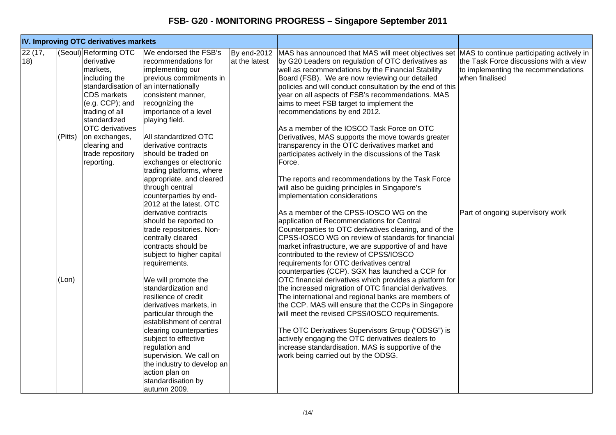| IV. Improving OTC derivatives markets |         |                                                                                                                                                                                                                                             |                                                                                                                                                                                                                                                                                                                                                                                                                                                                                                                                             |                              |                                                                                                                                                                                                                                                                                                                                                                                                                                                                                                                                                                                                                                                                                                                                                                                                                                                                                                    |                                                                                                 |
|---------------------------------------|---------|---------------------------------------------------------------------------------------------------------------------------------------------------------------------------------------------------------------------------------------------|---------------------------------------------------------------------------------------------------------------------------------------------------------------------------------------------------------------------------------------------------------------------------------------------------------------------------------------------------------------------------------------------------------------------------------------------------------------------------------------------------------------------------------------------|------------------------------|----------------------------------------------------------------------------------------------------------------------------------------------------------------------------------------------------------------------------------------------------------------------------------------------------------------------------------------------------------------------------------------------------------------------------------------------------------------------------------------------------------------------------------------------------------------------------------------------------------------------------------------------------------------------------------------------------------------------------------------------------------------------------------------------------------------------------------------------------------------------------------------------------|-------------------------------------------------------------------------------------------------|
| 22 (17,<br>18)                        | (Pitts) | (Seoul) Reforming OTC<br>derivative<br>markets,<br>including the<br><b>CDS</b> markets<br>$(e.g. CCP)$ ; and<br>trading of all<br>standardized<br><b>OTC</b> derivatives<br>on exchanges,<br>clearing and<br>trade repository<br>reporting. | We endorsed the FSB's<br>recommendations for<br>implementing our<br>previous commitments in<br>standardisation of an internationally<br>consistent manner,<br>recognizing the<br>importance of a level<br>playing field.<br>All standardized OTC<br>derivative contracts<br>should be traded on<br>exchanges or electronic<br>trading platforms, where<br>appropriate, and cleared<br>through central<br>counterparties by end-                                                                                                             | By end-2012<br>at the latest | MAS has announced that MAS will meet objectives set MAS to continue participating actively in<br>by G20 Leaders on regulation of OTC derivatives as<br>well as recommendations by the Financial Stability<br>Board (FSB). We are now reviewing our detailed<br>policies and will conduct consultation by the end of this<br>year on all aspects of FSB's recommendations. MAS<br>aims to meet FSB target to implement the<br>recommendations by end 2012.<br>As a member of the IOSCO Task Force on OTC<br>Derivatives, MAS supports the move towards greater<br>transparency in the OTC derivatives market and<br>participates actively in the discussions of the Task<br>Force.<br>The reports and recommendations by the Task Force<br>will also be guiding principles in Singapore's<br>implementation considerations                                                                          | the Task Force discussions with a view<br>to implementing the recommendations<br>when finalised |
|                                       | (Lon)   |                                                                                                                                                                                                                                             | 2012 at the latest. OTC<br>derivative contracts<br>should be reported to<br>trade repositories. Non-<br>centrally cleared<br>contracts should be<br>subject to higher capital<br>requirements.<br>We will promote the<br>standardization and<br>resilience of credit<br>derivatives markets, in<br>particular through the<br>establishment of central<br>clearing counterparties<br>subject to effective<br>regulation and<br>supervision. We call on<br>the industry to develop an<br>action plan on<br>standardisation by<br>autumn 2009. |                              | As a member of the CPSS-IOSCO WG on the<br>application of Recommendations for Central<br>Counterparties to OTC derivatives clearing, and of the<br>CPSS-IOSCO WG on review of standards for financial<br>market infrastructure, we are supportive of and have<br>contributed to the review of CPSS/IOSCO<br>requirements for OTC derivatives central<br>counterparties (CCP). SGX has launched a CCP for<br>OTC financial derivatives which provides a platform for<br>the increased migration of OTC financial derivatives.<br>The international and regional banks are members of<br>the CCP. MAS will ensure that the CCPs in Singapore<br>will meet the revised CPSS/IOSCO requirements.<br>The OTC Derivatives Supervisors Group ("ODSG") is<br>actively engaging the OTC derivatives dealers to<br>increase standardisation. MAS is supportive of the<br>work being carried out by the ODSG. | Part of ongoing supervisory work                                                                |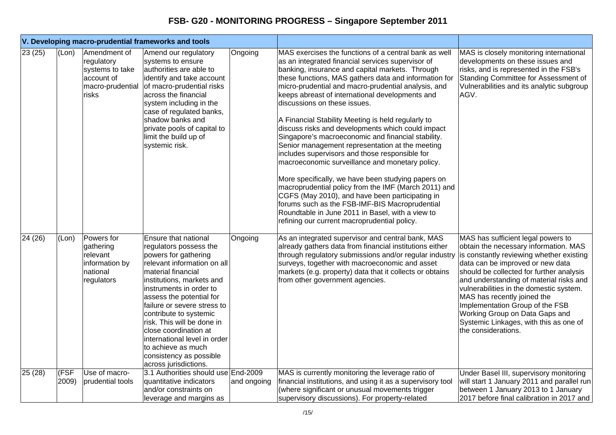| V. Developing macro-prudential frameworks and tools |               |                                                                                          |                                                                                                                                                                                                                                                                                                                                                                                                                                           |             |                                                                                                                                                                                                                                                                                                                                                                                                                                                                                                                                                                                                                                                                                                                                                                                                                                                                                                                                                                                                                  |                                                                                                                                                                                                                                                                                                                                                                                                                                                                    |
|-----------------------------------------------------|---------------|------------------------------------------------------------------------------------------|-------------------------------------------------------------------------------------------------------------------------------------------------------------------------------------------------------------------------------------------------------------------------------------------------------------------------------------------------------------------------------------------------------------------------------------------|-------------|------------------------------------------------------------------------------------------------------------------------------------------------------------------------------------------------------------------------------------------------------------------------------------------------------------------------------------------------------------------------------------------------------------------------------------------------------------------------------------------------------------------------------------------------------------------------------------------------------------------------------------------------------------------------------------------------------------------------------------------------------------------------------------------------------------------------------------------------------------------------------------------------------------------------------------------------------------------------------------------------------------------|--------------------------------------------------------------------------------------------------------------------------------------------------------------------------------------------------------------------------------------------------------------------------------------------------------------------------------------------------------------------------------------------------------------------------------------------------------------------|
| 23(25)                                              | (Lon)         | Amendment of<br>regulatory<br>systems to take<br>account of<br>macro-prudential<br>risks | Amend our regulatory<br>systems to ensure<br>authorities are able to<br>identify and take account<br>of macro-prudential risks<br>across the financial<br>system including in the<br>case of regulated banks,<br>shadow banks and<br>private pools of capital to<br>limit the build up of<br>systemic risk.                                                                                                                               | Ongoing     | MAS exercises the functions of a central bank as well<br>as an integrated financial services supervisor of<br>banking, insurance and capital markets. Through<br>these functions, MAS gathers data and information for<br>micro-prudential and macro-prudential analysis, and<br>keeps abreast of international developments and<br>discussions on these issues.<br>A Financial Stability Meeting is held regularly to<br>discuss risks and developments which could impact<br>Singapore's macroeconomic and financial stability.<br>Senior management representation at the meeting<br>includes supervisors and those responsible for<br>macroeconomic surveillance and monetary policy.<br>More specifically, we have been studying papers on<br>macroprudential policy from the IMF (March 2011) and<br>CGFS (May 2010), and have been participating in<br>forums such as the FSB-IMF-BIS Macroprudential<br>Roundtable in June 2011 in Basel, with a view to<br>refining our current macroprudential policy. | MAS is closely monitoring international<br>developments on these issues and<br>risks, and is represented in the FSB's<br>Standing Committee for Assessment of<br>Vulnerabilities and its analytic subgroup<br>AGV.                                                                                                                                                                                                                                                 |
| 24 (26)                                             | (Lon)         | Powers for<br>gathering<br>relevant<br>information by<br>national<br>regulators          | Ensure that national<br>regulators possess the<br>powers for gathering<br>relevant information on all<br>material financial<br>institutions, markets and<br>instruments in order to<br>assess the potential for<br>failure or severe stress to<br>contribute to systemic<br>risk. This will be done in<br>close coordination at<br>international level in order<br>to achieve as much<br>consistency as possible<br>across jurisdictions. | Ongoing     | As an integrated supervisor and central bank, MAS<br>already gathers data from financial institutions either<br>through regulatory submissions and/or regular industry<br>surveys, together with macroeconomic and asset<br>markets (e.g. property) data that it collects or obtains<br>from other government agencies.                                                                                                                                                                                                                                                                                                                                                                                                                                                                                                                                                                                                                                                                                          | MAS has sufficient legal powers to<br>obtain the necessary information. MAS<br>is constantly reviewing whether existing<br>data can be improved or new data<br>should be collected for further analysis<br>and understanding of material risks and<br>vulnerabilities in the domestic system.<br>MAS has recently joined the<br>Implementation Group of the FSB<br>Working Group on Data Gaps and<br>Systemic Linkages, with this as one of<br>the considerations. |
| 25(28)                                              | (FSF<br>2009) | Use of macro-<br>prudential tools                                                        | 3.1 Authorities should use End-2009<br>quantitative indicators                                                                                                                                                                                                                                                                                                                                                                            | and ongoing | MAS is currently monitoring the leverage ratio of<br>financial institutions, and using it as a supervisory tool                                                                                                                                                                                                                                                                                                                                                                                                                                                                                                                                                                                                                                                                                                                                                                                                                                                                                                  | Under Basel III, supervisory monitoring<br>will start 1 January 2011 and parallel run                                                                                                                                                                                                                                                                                                                                                                              |
|                                                     |               |                                                                                          | and/or constraints on<br>leverage and margins as                                                                                                                                                                                                                                                                                                                                                                                          |             | (where significant or unusual movements trigger<br>supervisory discussions). For property-related                                                                                                                                                                                                                                                                                                                                                                                                                                                                                                                                                                                                                                                                                                                                                                                                                                                                                                                | between 1 January 2013 to 1 January<br>2017 before final calibration in 2017 and                                                                                                                                                                                                                                                                                                                                                                                   |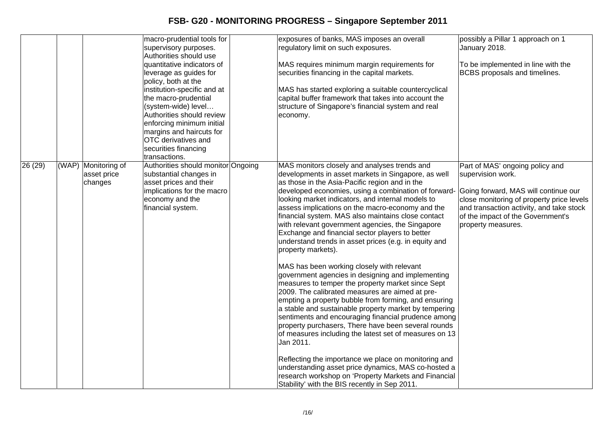|         |                                               | macro-prudential tools for<br>supervisory purposes.<br>Authorities should use<br>quantitative indicators of<br>leverage as guides for<br>policy, both at the<br>institution-specific and at<br>the macro-prudential<br>(system-wide) level<br>Authorities should review<br>enforcing minimum initial<br>margins and haircuts for<br>OTC derivatives and<br>securities financing<br>transactions. | exposures of banks, MAS imposes an overall<br>regulatory limit on such exposures.<br>MAS requires minimum margin requirements for<br>securities financing in the capital markets.<br>MAS has started exploring a suitable countercyclical<br>capital buffer framework that takes into account the<br>structure of Singapore's financial system and real<br>economy.                                                                                                                                                                                                                                                                                                                                                                                                                                                                                                                                                                                                                                                                                                                                                                                                                                                                                                                                         | possibly a Pillar 1 approach on 1<br>January 2018.<br>To be implemented in line with the<br>BCBS proposals and timelines.                                                                                                                        |
|---------|-----------------------------------------------|--------------------------------------------------------------------------------------------------------------------------------------------------------------------------------------------------------------------------------------------------------------------------------------------------------------------------------------------------------------------------------------------------|-------------------------------------------------------------------------------------------------------------------------------------------------------------------------------------------------------------------------------------------------------------------------------------------------------------------------------------------------------------------------------------------------------------------------------------------------------------------------------------------------------------------------------------------------------------------------------------------------------------------------------------------------------------------------------------------------------------------------------------------------------------------------------------------------------------------------------------------------------------------------------------------------------------------------------------------------------------------------------------------------------------------------------------------------------------------------------------------------------------------------------------------------------------------------------------------------------------------------------------------------------------------------------------------------------------|--------------------------------------------------------------------------------------------------------------------------------------------------------------------------------------------------------------------------------------------------|
| 26 (29) | (WAP) Monitoring of<br>asset price<br>changes | Authorities should monitor Ongoing<br>substantial changes in<br>asset prices and their<br>implications for the macro<br>economy and the<br>financial system.                                                                                                                                                                                                                                     | MAS monitors closely and analyses trends and<br>developments in asset markets in Singapore, as well<br>as those in the Asia-Pacific region and in the<br>developed economies, using a combination of forward-<br>looking market indicators, and internal models to<br>assess implications on the macro-economy and the<br>financial system. MAS also maintains close contact<br>with relevant government agencies, the Singapore<br>Exchange and financial sector players to better<br>understand trends in asset prices (e.g. in equity and<br>property markets).<br>MAS has been working closely with relevant<br>government agencies in designing and implementing<br>measures to temper the property market since Sept<br>2009. The calibrated measures are aimed at pre-<br>empting a property bubble from forming, and ensuring<br>a stable and sustainable property market by tempering<br>sentiments and encouraging financial prudence among<br>property purchasers, There have been several rounds<br>of measures including the latest set of measures on 13<br>Jan 2011.<br>Reflecting the importance we place on monitoring and<br>understanding asset price dynamics, MAS co-hosted a<br>research workshop on 'Property Markets and Financial<br>Stability' with the BIS recently in Sep 2011. | Part of MAS' ongoing policy and<br>supervision work.<br>Going forward, MAS will continue our<br>close monitoring of property price levels<br>and transaction activity, and take stock<br>of the impact of the Government's<br>property measures. |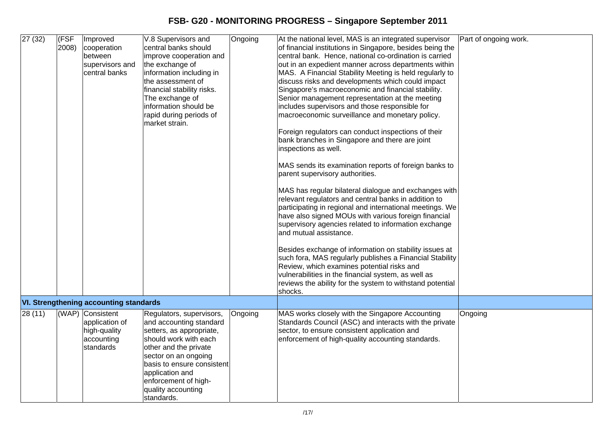**FSB- G20 - MONITORING PROGRESS – Singapore September 2011** 

| 27(32)  | (FSF<br>2008) | Improved<br>cooperation<br>between<br>supervisors and<br>central banks        | V.8 Supervisors and<br>central banks should<br>improve cooperation and<br>the exchange of<br>information including in<br>the assessment of<br>financial stability risks.<br>The exchange of<br>information should be<br>rapid during periods of<br>market strain.      | Ongoing | At the national level, MAS is an integrated supervisor<br>of financial institutions in Singapore, besides being the<br>central bank. Hence, national co-ordination is carried<br>out in an expedient manner across departments within<br>MAS. A Financial Stability Meeting is held regularly to<br>discuss risks and developments which could impact<br>Singapore's macroeconomic and financial stability.<br>Senior management representation at the meeting<br>includes supervisors and those responsible for<br>macroeconomic surveillance and monetary policy.<br>Foreign regulators can conduct inspections of their<br>bank branches in Singapore and there are joint<br>inspections as well.<br>MAS sends its examination reports of foreign banks to<br>parent supervisory authorities.<br>MAS has regular bilateral dialogue and exchanges with<br>relevant regulators and central banks in addition to<br>participating in regional and international meetings. We<br>have also signed MOUs with various foreign financial<br>supervisory agencies related to information exchange<br>and mutual assistance.<br>Besides exchange of information on stability issues at<br>such fora, MAS regularly publishes a Financial Stability<br>Review, which examines potential risks and<br>vulnerabilities in the financial system, as well as<br>reviews the ability for the system to withstand potential<br>shocks. | Part of ongoing work. |
|---------|---------------|-------------------------------------------------------------------------------|------------------------------------------------------------------------------------------------------------------------------------------------------------------------------------------------------------------------------------------------------------------------|---------|----------------------------------------------------------------------------------------------------------------------------------------------------------------------------------------------------------------------------------------------------------------------------------------------------------------------------------------------------------------------------------------------------------------------------------------------------------------------------------------------------------------------------------------------------------------------------------------------------------------------------------------------------------------------------------------------------------------------------------------------------------------------------------------------------------------------------------------------------------------------------------------------------------------------------------------------------------------------------------------------------------------------------------------------------------------------------------------------------------------------------------------------------------------------------------------------------------------------------------------------------------------------------------------------------------------------------------------------------------------------------------------------------------------------------|-----------------------|
|         |               | <b>VI. Strengthening accounting standards</b>                                 |                                                                                                                                                                                                                                                                        |         |                                                                                                                                                                                                                                                                                                                                                                                                                                                                                                                                                                                                                                                                                                                                                                                                                                                                                                                                                                                                                                                                                                                                                                                                                                                                                                                                                                                                                            |                       |
| 28 (11) |               | (WAP) Consistent<br>application of<br>high-quality<br>accounting<br>standards | Regulators, supervisors,<br>and accounting standard<br>setters, as appropriate,<br>should work with each<br>other and the private<br>sector on an ongoing<br>basis to ensure consistent<br>application and<br>enforcement of high-<br>quality accounting<br>standards. | Ongoing | MAS works closely with the Singapore Accounting<br>Standards Council (ASC) and interacts with the private<br>sector, to ensure consistent application and<br>enforcement of high-quality accounting standards.                                                                                                                                                                                                                                                                                                                                                                                                                                                                                                                                                                                                                                                                                                                                                                                                                                                                                                                                                                                                                                                                                                                                                                                                             | Ongoing               |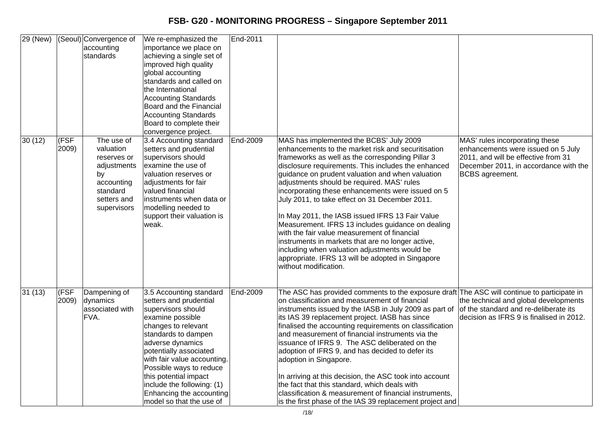| 29 (New) |               | (Seoul) Convergence of<br>accounting<br>standards                                                                   | We re-emphasized the<br>importance we place on<br>achieving a single set of<br>improved high quality<br>global accounting<br>standards and called on<br>the International<br><b>Accounting Standards</b><br>Board and the Financial<br><b>Accounting Standards</b><br>Board to complete their<br>convergence project.                                            | End-2011 |                                                                                                                                                                                                                                                                                                                                                                                                                                                                                                                                                                                                                                                                                                                                                               |                                                                                                                                                                                |
|----------|---------------|---------------------------------------------------------------------------------------------------------------------|------------------------------------------------------------------------------------------------------------------------------------------------------------------------------------------------------------------------------------------------------------------------------------------------------------------------------------------------------------------|----------|---------------------------------------------------------------------------------------------------------------------------------------------------------------------------------------------------------------------------------------------------------------------------------------------------------------------------------------------------------------------------------------------------------------------------------------------------------------------------------------------------------------------------------------------------------------------------------------------------------------------------------------------------------------------------------------------------------------------------------------------------------------|--------------------------------------------------------------------------------------------------------------------------------------------------------------------------------|
| 30 (12)  | (FSF<br>2009) | The use of<br>valuation<br>reserves or<br>adjustments<br>by<br>accounting<br>standard<br>setters and<br>supervisors | 3.4 Accounting standard<br>setters and prudential<br>supervisors should<br>examine the use of<br>valuation reserves or<br>adjustments for fair<br>valued financial<br>instruments when data or<br>modelling needed to<br>support their valuation is<br>weak.                                                                                                     | End-2009 | MAS has implemented the BCBS' July 2009<br>enhancements to the market risk and securitisation<br>frameworks as well as the corresponding Pillar 3<br>disclosure requirements. This includes the enhanced<br>guidance on prudent valuation and when valuation<br>adjustments should be required. MAS' rules<br>incorporating these enhancements were issued on 5<br>July 2011, to take effect on 31 December 2011.<br>In May 2011, the IASB issued IFRS 13 Fair Value<br>Measurement. IFRS 13 includes guidance on dealing<br>with the fair value measurement of financial<br>instruments in markets that are no longer active,<br>including when valuation adjustments would be<br>appropriate. IFRS 13 will be adopted in Singapore<br>without modification. | MAS' rules incorporating these<br>enhancements were issued on 5 July<br>2011, and will be effective from 31<br>December 2011, in accordance with the<br><b>BCBS</b> agreement. |
| 31(13)   | (FSF<br>2009) | Dampening of<br>dynamics<br>associated with<br>FVA.                                                                 | 3.5 Accounting standard<br>setters and prudential<br>supervisors should<br>examine possible<br>changes to relevant<br>standards to dampen<br>adverse dynamics<br>potentially associated<br>with fair value accounting.<br>Possible ways to reduce<br>this potential impact<br>include the following: (1)<br>Enhancing the accounting<br>model so that the use of | End-2009 | The ASC has provided comments to the exposure draft The ASC will continue to participate in<br>on classification and measurement of financial<br>instruments issued by the IASB in July 2009 as part of<br>its IAS 39 replacement project. IASB has since<br>finalised the accounting requirements on classification<br>and measurement of financial instruments via the<br>issuance of IFRS 9. The ASC deliberated on the<br>adoption of IFRS 9, and has decided to defer its<br>adoption in Singapore.<br>In arriving at this decision, the ASC took into account<br>the fact that this standard, which deals with<br>classification & measurement of financial instruments,<br>is the first phase of the IAS 39 replacement project and                    | the technical and global developments<br>of the standard and re-deliberate its<br>decision as IFRS 9 is finalised in 2012.                                                     |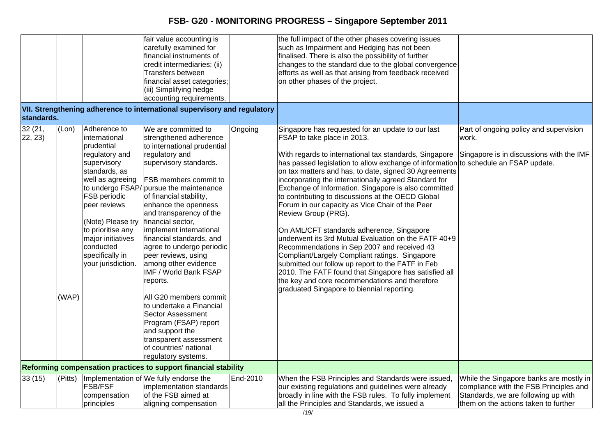|                    |                |                                                                                                                                                                                                                                                                               | fair value accounting is<br>carefully examined for<br>financial instruments of<br>credit intermediaries; (ii)<br>Transfers between<br>financial asset categories;<br>(iii) Simplifying hedge<br>accounting requirements.                                                                                                                                                                                                                                                                                                                                                                                                                                                         |          | the full impact of the other phases covering issues<br>such as Impairment and Hedging has not been<br>finalised. There is also the possibility of further<br>changes to the standard due to the global convergence<br>efforts as well as that arising from feedback received<br>on other phases of the project.                                                                                                                                                                                                                                                                                                                                                                                                                                                                                                                                                                                                                                                |                                                                                                                                                                  |
|--------------------|----------------|-------------------------------------------------------------------------------------------------------------------------------------------------------------------------------------------------------------------------------------------------------------------------------|----------------------------------------------------------------------------------------------------------------------------------------------------------------------------------------------------------------------------------------------------------------------------------------------------------------------------------------------------------------------------------------------------------------------------------------------------------------------------------------------------------------------------------------------------------------------------------------------------------------------------------------------------------------------------------|----------|----------------------------------------------------------------------------------------------------------------------------------------------------------------------------------------------------------------------------------------------------------------------------------------------------------------------------------------------------------------------------------------------------------------------------------------------------------------------------------------------------------------------------------------------------------------------------------------------------------------------------------------------------------------------------------------------------------------------------------------------------------------------------------------------------------------------------------------------------------------------------------------------------------------------------------------------------------------|------------------------------------------------------------------------------------------------------------------------------------------------------------------|
| standards.         |                |                                                                                                                                                                                                                                                                               | VII. Strengthening adherence to international supervisory and regulatory                                                                                                                                                                                                                                                                                                                                                                                                                                                                                                                                                                                                         |          |                                                                                                                                                                                                                                                                                                                                                                                                                                                                                                                                                                                                                                                                                                                                                                                                                                                                                                                                                                |                                                                                                                                                                  |
| 32 (21,<br>22, 23) | (Lon)<br>(WAP) | Adherence to<br>international<br>prudential<br>regulatory and<br>supervisory<br>standards, as<br>well as agreeing<br><b>FSB</b> periodic<br>peer reviews<br>(Note) Please try<br>to prioritise any<br>major initiatives<br>conducted<br>specifically in<br>your jurisdiction. | We are committed to<br>strengthened adherence<br>to international prudential<br>regulatory and<br>supervisory standards.<br>FSB members commit to<br>to undergo FSAP/ pursue the maintenance<br>of financial stability,<br>enhance the openness<br>and transparency of the<br>financial sector,<br>implement international<br>financial standards, and<br>agree to undergo periodic<br>peer reviews, using<br>among other evidence<br>IMF / World Bank FSAP<br>reports.<br>All G20 members commit<br>to undertake a Financial<br><b>Sector Assessment</b><br>Program (FSAP) report<br>and support the<br>transparent assessment<br>of countries' national<br>regulatory systems. | Ongoing  | Singapore has requested for an update to our last<br>FSAP to take place in 2013.<br>With regards to international tax standards, Singapore<br>has passed legislation to allow exchange of information to schedule an FSAP update.<br>on tax matters and has, to date, signed 30 Agreements<br>incorporating the internationally agreed Standard for<br>Exchange of Information. Singapore is also committed<br>to contributing to discussions at the OECD Global<br>Forum in our capacity as Vice Chair of the Peer<br>Review Group (PRG).<br>On AML/CFT standards adherence, Singapore<br>underwent its 3rd Mutual Evaluation on the FATF 40+9<br>Recommendations in Sep 2007 and received 43<br>Compliant/Largely Compliant ratings. Singapore<br>submitted our follow up report to the FATF in Feb<br>2010. The FATF found that Singapore has satisfied all<br>the key and core recommendations and therefore<br>graduated Singapore to biennial reporting. | Part of ongoing policy and supervision<br>work.<br>Singapore is in discussions with the IMF                                                                      |
|                    |                |                                                                                                                                                                                                                                                                               | Reforming compensation practices to support financial stability                                                                                                                                                                                                                                                                                                                                                                                                                                                                                                                                                                                                                  |          |                                                                                                                                                                                                                                                                                                                                                                                                                                                                                                                                                                                                                                                                                                                                                                                                                                                                                                                                                                |                                                                                                                                                                  |
| 33(15)             |                | <b>FSB/FSF</b><br>compensation<br>principles                                                                                                                                                                                                                                  | (Pitts)   Implementation of We fully endorse the<br>implementation standards<br>of the FSB aimed at<br>aligning compensation                                                                                                                                                                                                                                                                                                                                                                                                                                                                                                                                                     | End-2010 | When the FSB Principles and Standards were issued,<br>our existing regulations and guidelines were already<br>broadly in line with the FSB rules. To fully implement<br>all the Principles and Standards, we issued a                                                                                                                                                                                                                                                                                                                                                                                                                                                                                                                                                                                                                                                                                                                                          | While the Singapore banks are mostly in<br>compliance with the FSB Principles and<br>Standards, we are following up with<br>them on the actions taken to further |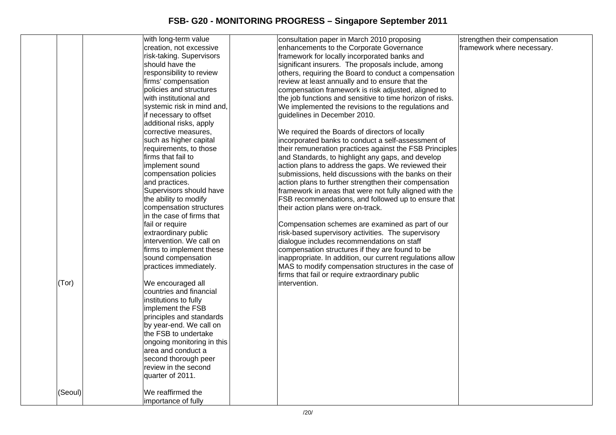|         | with long-term value       |               | consultation paper in March 2010 proposing                | strengthen their compensation |
|---------|----------------------------|---------------|-----------------------------------------------------------|-------------------------------|
|         | creation, not excessive    |               | enhancements to the Corporate Governance                  | framework where necessary.    |
|         | risk-taking. Supervisors   |               | framework for locally incorporated banks and              |                               |
|         | should have the            |               | significant insurers. The proposals include, among        |                               |
|         | responsibility to review   |               | others, requiring the Board to conduct a compensation     |                               |
|         | firms' compensation        |               | review at least annually and to ensure that the           |                               |
|         | policies and structures    |               | compensation framework is risk adjusted, aligned to       |                               |
|         | with institutional and     |               | the job functions and sensitive to time horizon of risks. |                               |
|         | systemic risk in mind and, |               | We implemented the revisions to the regulations and       |                               |
|         | if necessary to offset     |               | guidelines in December 2010.                              |                               |
|         | additional risks, apply    |               |                                                           |                               |
|         | corrective measures,       |               | We required the Boards of directors of locally            |                               |
|         | such as higher capital     |               | incorporated banks to conduct a self-assessment of        |                               |
|         | requirements, to those     |               | their remuneration practices against the FSB Principles   |                               |
|         | firms that fail to         |               | and Standards, to highlight any gaps, and develop         |                               |
|         | implement sound            |               | action plans to address the gaps. We reviewed their       |                               |
|         | compensation policies      |               | submissions, held discussions with the banks on their     |                               |
|         | and practices.             |               | action plans to further strengthen their compensation     |                               |
|         | Supervisors should have    |               | framework in areas that were not fully aligned with the   |                               |
|         | the ability to modify      |               | FSB recommendations, and followed up to ensure that       |                               |
|         | compensation structures    |               | their action plans were on-track.                         |                               |
|         | in the case of firms that  |               |                                                           |                               |
|         | fail or require            |               | Compensation schemes are examined as part of our          |                               |
|         | extraordinary public       |               | risk-based supervisory activities. The supervisory        |                               |
|         | intervention. We call on   |               | dialogue includes recommendations on staff                |                               |
|         | firms to implement these   |               | compensation structures if they are found to be           |                               |
|         | sound compensation         |               | inappropriate. In addition, our current regulations allow |                               |
|         | practices immediately.     |               | MAS to modify compensation structures in the case of      |                               |
|         |                            |               | firms that fail or require extraordinary public           |                               |
| (Tor)   | We encouraged all          | intervention. |                                                           |                               |
|         | countries and financial    |               |                                                           |                               |
|         | institutions to fully      |               |                                                           |                               |
|         | implement the FSB          |               |                                                           |                               |
|         | principles and standards   |               |                                                           |                               |
|         | by year-end. We call on    |               |                                                           |                               |
|         | the FSB to undertake       |               |                                                           |                               |
|         | ongoing monitoring in this |               |                                                           |                               |
|         | area and conduct a         |               |                                                           |                               |
|         | second thorough peer       |               |                                                           |                               |
|         | review in the second       |               |                                                           |                               |
|         |                            |               |                                                           |                               |
|         | quarter of 2011.           |               |                                                           |                               |
|         |                            |               |                                                           |                               |
| (Seoul) | We reaffirmed the          |               |                                                           |                               |
|         | importance of fully        |               |                                                           |                               |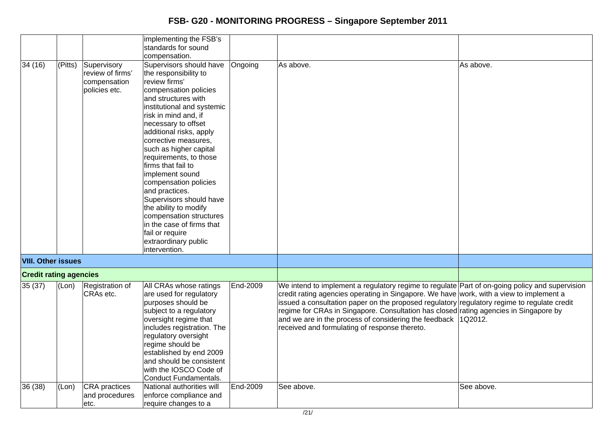|                               |         |                                                                   | implementing the FSB's                                                                                                                                                                                                                                                                                                                                                                                                                                                                                                                                                             |          |                                                                                                                                                                                                                                                                                                                                                                                                                                                                                                         |            |
|-------------------------------|---------|-------------------------------------------------------------------|------------------------------------------------------------------------------------------------------------------------------------------------------------------------------------------------------------------------------------------------------------------------------------------------------------------------------------------------------------------------------------------------------------------------------------------------------------------------------------------------------------------------------------------------------------------------------------|----------|---------------------------------------------------------------------------------------------------------------------------------------------------------------------------------------------------------------------------------------------------------------------------------------------------------------------------------------------------------------------------------------------------------------------------------------------------------------------------------------------------------|------------|
|                               |         |                                                                   | standards for sound                                                                                                                                                                                                                                                                                                                                                                                                                                                                                                                                                                |          |                                                                                                                                                                                                                                                                                                                                                                                                                                                                                                         |            |
|                               |         |                                                                   |                                                                                                                                                                                                                                                                                                                                                                                                                                                                                                                                                                                    |          |                                                                                                                                                                                                                                                                                                                                                                                                                                                                                                         |            |
| 34 (16)                       | (Pitts) | Supervisory<br>Ireview of firms'<br>compensation<br>policies etc. | compensation.<br>Supervisors should have<br>the responsibility to<br>review firms'<br>compensation policies<br>and structures with<br>institutional and systemic<br>risk in mind and, if<br>necessary to offset<br>additional risks, apply<br>corrective measures,<br>such as higher capital<br>requirements, to those<br>firms that fail to<br>implement sound<br>compensation policies<br>and practices.<br>Supervisors should have<br>the ability to modify<br>compensation structures<br>in the case of firms that<br>fail or require<br>extraordinary public<br>intervention. | Ongoing  | As above.                                                                                                                                                                                                                                                                                                                                                                                                                                                                                               | As above.  |
| <b>VIII. Other issues</b>     |         |                                                                   |                                                                                                                                                                                                                                                                                                                                                                                                                                                                                                                                                                                    |          |                                                                                                                                                                                                                                                                                                                                                                                                                                                                                                         |            |
| <b>Credit rating agencies</b> |         |                                                                   |                                                                                                                                                                                                                                                                                                                                                                                                                                                                                                                                                                                    |          |                                                                                                                                                                                                                                                                                                                                                                                                                                                                                                         |            |
| 35(37)                        | (Lon)   | Registration of<br>CRAs etc.                                      | All CRAs whose ratings<br>are used for regulatory<br>purposes should be<br>subject to a regulatory<br>oversight regime that<br>includes registration. The<br>regulatory oversight<br>regime should be<br>established by end 2009<br>and should be consistent<br>with the IOSCO Code of<br>Conduct Fundamentals.                                                                                                                                                                                                                                                                    | End-2009 | We intend to implement a regulatory regime to regulate Part of on-going policy and supervision<br>credit rating agencies operating in Singapore. We have work, with a view to implement a<br>issued a consultation paper on the proposed regulatory regulatory regime to regulate credit<br>regime for CRAs in Singapore. Consultation has closed rating agencies in Singapore by<br>and we are in the process of considering the feedback $ 1Q2012$ .<br>received and formulating of response thereto. |            |
| 36 (38)                       | (Lon)   | CRA practices<br>and procedures<br>etc.                           | National authorities will<br>enforce compliance and<br>require changes to a                                                                                                                                                                                                                                                                                                                                                                                                                                                                                                        | End-2009 | See above.                                                                                                                                                                                                                                                                                                                                                                                                                                                                                              | See above. |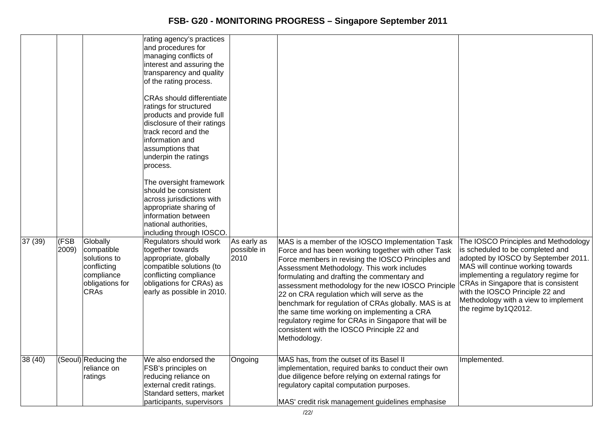| 37 (39) | (FSB<br>2009) | Globally<br>compatible<br>solutions to<br>conflicting<br>compliance<br>obligations for<br><b>CRAs</b> | rating agency's practices<br>and procedures for<br>managing conflicts of<br>interest and assuring the<br>transparency and quality<br>of the rating process.<br><b>CRAs should differentiate</b><br>ratings for structured<br>products and provide full<br>disclosure of their ratings<br>track record and the<br>information and<br>assumptions that<br>underpin the ratings<br>process.<br>The oversight framework<br>should be consistent<br>across jurisdictions with<br>appropriate sharing of<br>information between<br>national authorities,<br>including through IOSCO.<br>Regulators should work<br>together towards<br>appropriate, globally<br>compatible solutions (to<br>conflicting compliance<br>obligations for CRAs) as<br>early as possible in 2010. | As early as<br>possible in<br>2010 | MAS is a member of the IOSCO Implementation Task<br>Force and has been working together with other Task<br>Force members in revising the IOSCO Principles and<br>Assessment Methodology. This work includes<br>formulating and drafting the commentary and<br>assessment methodology for the new IOSCO Principle<br>22 on CRA regulation which will serve as the<br>benchmark for regulation of CRAs globally. MAS is at<br>the same time working on implementing a CRA<br>regulatory regime for CRAs in Singapore that will be<br>consistent with the IOSCO Principle 22 and<br>Methodology. | The IOSCO Principles and Methodology<br>is scheduled to be completed and<br>adopted by IOSCO by September 2011.<br>MAS will continue working towards<br>implementing a regulatory regime for<br>CRAs in Singapore that is consistent<br>with the IOSCO Principle 22 and<br>Methodology with a view to implement<br>the regime by1Q2012. |
|---------|---------------|-------------------------------------------------------------------------------------------------------|-----------------------------------------------------------------------------------------------------------------------------------------------------------------------------------------------------------------------------------------------------------------------------------------------------------------------------------------------------------------------------------------------------------------------------------------------------------------------------------------------------------------------------------------------------------------------------------------------------------------------------------------------------------------------------------------------------------------------------------------------------------------------|------------------------------------|-----------------------------------------------------------------------------------------------------------------------------------------------------------------------------------------------------------------------------------------------------------------------------------------------------------------------------------------------------------------------------------------------------------------------------------------------------------------------------------------------------------------------------------------------------------------------------------------------|-----------------------------------------------------------------------------------------------------------------------------------------------------------------------------------------------------------------------------------------------------------------------------------------------------------------------------------------|
| 38(40)  |               | (Seoul) Reducing the<br>reliance on<br>ratings                                                        | We also endorsed the<br>FSB's principles on<br>reducing reliance on<br>external credit ratings.<br>Standard setters, market<br>participants, supervisors                                                                                                                                                                                                                                                                                                                                                                                                                                                                                                                                                                                                              | Ongoing                            | MAS has, from the outset of its Basel II<br>implementation, required banks to conduct their own<br>due diligence before relying on external ratings for<br>regulatory capital computation purposes.<br>MAS' credit risk management guidelines emphasise                                                                                                                                                                                                                                                                                                                                       | Implemented.                                                                                                                                                                                                                                                                                                                            |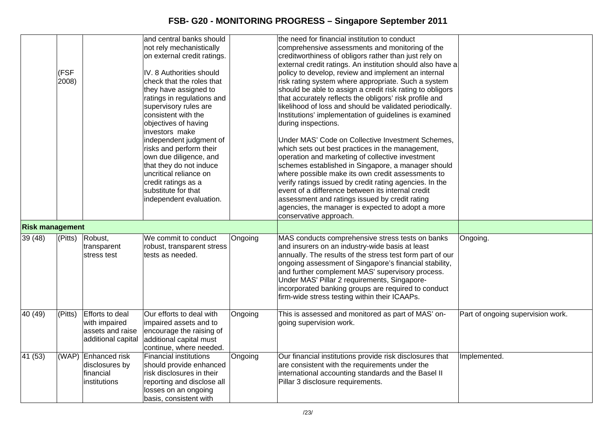|                        |             |                        | and central banks should                   |         | the need for financial institution to conduct              |                                   |
|------------------------|-------------|------------------------|--------------------------------------------|---------|------------------------------------------------------------|-----------------------------------|
|                        |             |                        | not rely mechanistically                   |         | comprehensive assessments and monitoring of the            |                                   |
|                        |             |                        | on external credit ratings.                |         | creditworthiness of obligors rather than just rely on      |                                   |
|                        |             |                        |                                            |         | external credit ratings. An institution should also have a |                                   |
|                        | (FSF        |                        | IV. 8 Authorities should                   |         | policy to develop, review and implement an internal        |                                   |
|                        | 2008)       |                        | check that the roles that                  |         | risk rating system where appropriate. Such a system        |                                   |
|                        |             |                        | they have assigned to                      |         | should be able to assign a credit risk rating to obligors  |                                   |
|                        |             |                        | ratings in regulations and                 |         | that accurately reflects the obligors' risk profile and    |                                   |
|                        |             |                        | supervisory rules are                      |         | likelihood of loss and should be validated periodically.   |                                   |
|                        |             |                        | consistent with the                        |         | Institutions' implementation of guidelines is examined     |                                   |
|                        |             |                        | objectives of having                       |         | during inspections.                                        |                                   |
|                        |             |                        | investors make                             |         |                                                            |                                   |
|                        |             |                        | independent judgment of                    |         | Under MAS' Code on Collective Investment Schemes,          |                                   |
|                        |             |                        | risks and perform their                    |         | which sets out best practices in the management,           |                                   |
|                        |             |                        | own due diligence, and                     |         | operation and marketing of collective investment           |                                   |
|                        |             |                        | that they do not induce                    |         | schemes established in Singapore, a manager should         |                                   |
|                        |             |                        | uncritical reliance on                     |         | where possible make its own credit assessments to          |                                   |
|                        |             |                        |                                            |         | verify ratings issued by credit rating agencies. In the    |                                   |
|                        |             |                        | credit ratings as a<br>substitute for that |         | event of a difference between its internal credit          |                                   |
|                        |             |                        |                                            |         |                                                            |                                   |
|                        |             |                        | independent evaluation.                    |         | assessment and ratings issued by credit rating             |                                   |
|                        |             |                        |                                            |         | agencies, the manager is expected to adopt a more          |                                   |
|                        |             |                        |                                            |         | conservative approach.                                     |                                   |
| <b>Risk management</b> |             |                        |                                            |         |                                                            |                                   |
| 39 (48)                | $ $ (Pitts) | Robust,                | We commit to conduct                       | Ongoing | MAS conducts comprehensive stress tests on banks           | Ongoing.                          |
|                        |             | transparent            | robust, transparent stress                 |         | and insurers on an industry-wide basis at least            |                                   |
|                        |             | stress test            | tests as needed.                           |         | annually. The results of the stress test form part of our  |                                   |
|                        |             |                        |                                            |         | ongoing assessment of Singapore's financial stability,     |                                   |
|                        |             |                        |                                            |         | and further complement MAS' supervisory process.           |                                   |
|                        |             |                        |                                            |         | Under MAS' Pillar 2 requirements, Singapore-               |                                   |
|                        |             |                        |                                            |         | incorporated banking groups are required to conduct        |                                   |
|                        |             |                        |                                            |         | firm-wide stress testing within their ICAAPs.              |                                   |
|                        |             |                        |                                            |         |                                                            |                                   |
| 40 (49)                | (Pits)      | <b>Efforts to deal</b> | Our efforts to deal with                   | Ongoing | This is assessed and monitored as part of MAS' on-         | Part of ongoing supervision work. |
|                        |             | with impaired          | impaired assets and to                     |         | going supervision work.                                    |                                   |
|                        |             | assets and raise       | encourage the raising of                   |         |                                                            |                                   |
|                        |             | additional capital     | additional capital must                    |         |                                                            |                                   |
|                        |             |                        | continue, where needed.                    |         |                                                            |                                   |
| 41(53)                 | (WAP)       | Enhanced risk          | <b>Financial institutions</b>              | Ongoing | Our financial institutions provide risk disclosures that   | Implemented.                      |
|                        |             | disclosures by         | should provide enhanced                    |         | are consistent with the requirements under the             |                                   |
|                        |             | financial              | risk disclosures in their                  |         | international accounting standards and the Basel II        |                                   |
|                        |             | institutions           | reporting and disclose all                 |         | Pillar 3 disclosure requirements.                          |                                   |
|                        |             |                        | losses on an ongoing                       |         |                                                            |                                   |
|                        |             |                        | basis, consistent with                     |         |                                                            |                                   |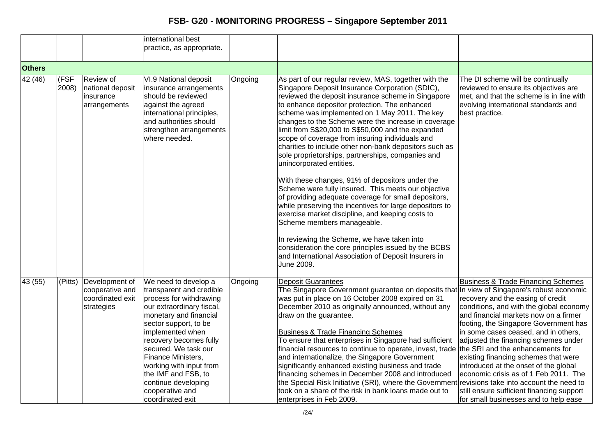|                  |               |                                                                     | international best<br>practice, as appropriate.                                                                                                                                                                                                                                                                                                                         |         |                                                                                                                                                                                                                                                                                                                                                                                                                                                                                                                                                                                                                                                                                                                                                                                                                                                                                            |                                                                                                                                                                                                                                                                                                                                                                                                                                                                                                                 |
|------------------|---------------|---------------------------------------------------------------------|-------------------------------------------------------------------------------------------------------------------------------------------------------------------------------------------------------------------------------------------------------------------------------------------------------------------------------------------------------------------------|---------|--------------------------------------------------------------------------------------------------------------------------------------------------------------------------------------------------------------------------------------------------------------------------------------------------------------------------------------------------------------------------------------------------------------------------------------------------------------------------------------------------------------------------------------------------------------------------------------------------------------------------------------------------------------------------------------------------------------------------------------------------------------------------------------------------------------------------------------------------------------------------------------------|-----------------------------------------------------------------------------------------------------------------------------------------------------------------------------------------------------------------------------------------------------------------------------------------------------------------------------------------------------------------------------------------------------------------------------------------------------------------------------------------------------------------|
| <b>Others</b>    |               |                                                                     |                                                                                                                                                                                                                                                                                                                                                                         |         |                                                                                                                                                                                                                                                                                                                                                                                                                                                                                                                                                                                                                                                                                                                                                                                                                                                                                            |                                                                                                                                                                                                                                                                                                                                                                                                                                                                                                                 |
| 42(46)           | (FSF<br>2008) | Review of<br>national deposit<br>insurance<br>arrangements          | VI.9 National deposit<br>insurance arrangements<br>should be reviewed<br>against the agreed<br>international principles,<br>and authorities should<br>strengthen arrangements<br>where needed.                                                                                                                                                                          | Ongoing | As part of our regular review, MAS, together with the<br>Singapore Deposit Insurance Corporation (SDIC),<br>reviewed the deposit insurance scheme in Singapore<br>to enhance depositor protection. The enhanced<br>scheme was implemented on 1 May 2011. The key<br>changes to the Scheme were the increase in coverage<br>limit from S\$20,000 to S\$50,000 and the expanded<br>scope of coverage from insuring individuals and<br>charities to include other non-bank depositors such as<br>sole proprietorships, partnerships, companies and<br>unincorporated entities.<br>With these changes, 91% of depositors under the<br>Scheme were fully insured. This meets our objective<br>of providing adequate coverage for small depositors,<br>while preserving the incentives for large depositors to<br>exercise market discipline, and keeping costs to<br>Scheme members manageable. | The DI scheme will be continually<br>reviewed to ensure its objectives are<br>met, and that the scheme is in line with<br>evolving international standards and<br>best practice.                                                                                                                                                                                                                                                                                                                                |
|                  |               |                                                                     |                                                                                                                                                                                                                                                                                                                                                                         |         | In reviewing the Scheme, we have taken into<br>consideration the core principles issued by the BCBS<br>and International Association of Deposit Insurers in<br>June 2009.                                                                                                                                                                                                                                                                                                                                                                                                                                                                                                                                                                                                                                                                                                                  |                                                                                                                                                                                                                                                                                                                                                                                                                                                                                                                 |
| $\sqrt{43} (55)$ | (Pitts)       | Development of<br>cooperative and<br>coordinated exit<br>strategies | We need to develop a<br>transparent and credible<br>process for withdrawing<br>our extraordinary fiscal,<br>monetary and financial<br>sector support, to be<br>implemented when<br>recovery becomes fully<br>secured. We task our<br>Finance Ministers,<br>working with input from<br>the IMF and FSB, to<br>continue developing<br>cooperative and<br>coordinated exit | Ongoing | <b>Deposit Guarantees</b><br>The Singapore Government guarantee on deposits that In view of Singapore's robust economic<br>was put in place on 16 October 2008 expired on 31<br>December 2010 as originally announced, without any<br>draw on the guarantee.<br><b>Business &amp; Trade Financing Schemes</b><br>To ensure that enterprises in Singapore had sufficient<br>financial resources to continue to operate, invest, trade the SRI and the enhancements for<br>and internationalize, the Singapore Government<br>significantly enhanced existing business and trade<br>financing schemes in December 2008 and introduced<br>the Special Risk Initiative (SRI), where the Government revisions take into account the need to<br>took on a share of the risk in bank loans made out to<br>enterprises in Feb 2009.                                                                 | <b>Business &amp; Trade Financing Schemes</b><br>recovery and the easing of credit<br>conditions, and with the global economy<br>and financial markets now on a firmer<br>footing, the Singapore Government has<br>in some cases ceased, and in others,<br>adjusted the financing schemes under<br>existing financing schemes that were<br>introduced at the onset of the global<br>economic crisis as of 1 Feb 2011. The<br>still ensure sufficient financing support<br>for small businesses and to help ease |